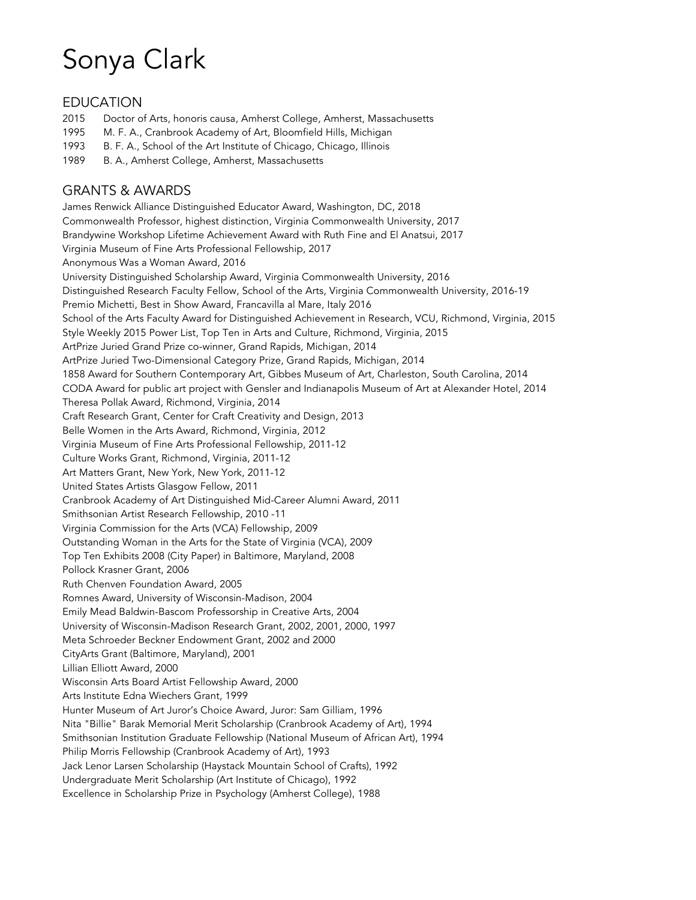# Sonya Clark

# EDUCATION

- 2015 Doctor of Arts, honoris causa, Amherst College, Amherst, Massachusetts
- 1995 M. F. A., Cranbrook Academy of Art, Bloomfield Hills, Michigan
- 1993 B. F. A., School of the Art Institute of Chicago, Chicago, Illinois
- 1989 B. A., Amherst College, Amherst, Massachusetts

# GRANTS & AWARDS

James Renwick Alliance Distinguished Educator Award, Washington, DC, 2018 Commonwealth Professor, highest distinction, Virginia Commonwealth University, 2017 Brandywine Workshop Lifetime Achievement Award with Ruth Fine and El Anatsui, 2017 Virginia Museum of Fine Arts Professional Fellowship, 2017 Anonymous Was a Woman Award, 2016 University Distinguished Scholarship Award, Virginia Commonwealth University, 2016 Distinguished Research Faculty Fellow, School of the Arts, Virginia Commonwealth University, 2016-19 Premio Michetti, Best in Show Award, Francavilla al Mare, Italy 2016 School of the Arts Faculty Award for Distinguished Achievement in Research, VCU, Richmond, Virginia, 2015 Style Weekly 2015 Power List, Top Ten in Arts and Culture, Richmond, Virginia, 2015 ArtPrize Juried Grand Prize co-winner, Grand Rapids, Michigan, 2014 ArtPrize Juried Two-Dimensional Category Prize, Grand Rapids, Michigan, 2014 1858 Award for Southern Contemporary Art, Gibbes Museum of Art, Charleston, South Carolina, 2014 CODA Award for public art project with Gensler and Indianapolis Museum of Art at Alexander Hotel, 2014 Theresa Pollak Award, Richmond, Virginia, 2014 Craft Research Grant, Center for Craft Creativity and Design, 2013 Belle Women in the Arts Award, Richmond, Virginia, 2012 Virginia Museum of Fine Arts Professional Fellowship, 2011-12 Culture Works Grant, Richmond, Virginia, 2011-12 Art Matters Grant, New York, New York, 2011-12 United States Artists Glasgow Fellow, 2011 Cranbrook Academy of Art Distinguished Mid-Career Alumni Award, 2011 Smithsonian Artist Research Fellowship, 2010 -11 Virginia Commission for the Arts (VCA) Fellowship, 2009 Outstanding Woman in the Arts for the State of Virginia (VCA), 2009 Top Ten Exhibits 2008 (City Paper) in Baltimore, Maryland, 2008 Pollock Krasner Grant, 2006 Ruth Chenven Foundation Award, 2005 Romnes Award, University of Wisconsin-Madison, 2004 Emily Mead Baldwin-Bascom Professorship in Creative Arts, 2004 University of Wisconsin-Madison Research Grant, 2002, 2001, 2000, 1997 Meta Schroeder Beckner Endowment Grant, 2002 and 2000 CityArts Grant (Baltimore, Maryland), 2001 Lillian Elliott Award, 2000 Wisconsin Arts Board Artist Fellowship Award, 2000 Arts Institute Edna Wiechers Grant, 1999 Hunter Museum of Art Juror's Choice Award, Juror: Sam Gilliam, 1996 Nita "Billie" Barak Memorial Merit Scholarship (Cranbrook Academy of Art), 1994 Smithsonian Institution Graduate Fellowship (National Museum of African Art), 1994 Philip Morris Fellowship (Cranbrook Academy of Art), 1993 Jack Lenor Larsen Scholarship (Haystack Mountain School of Crafts), 1992 Undergraduate Merit Scholarship (Art Institute of Chicago), 1992 Excellence in Scholarship Prize in Psychology (Amherst College), 1988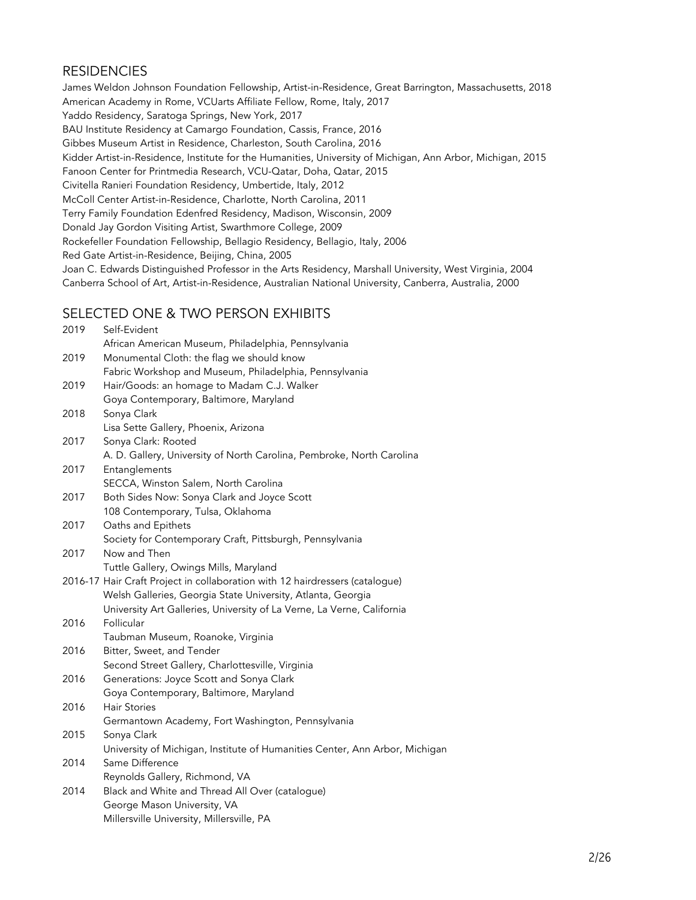# **RESIDENCIES**

James Weldon Johnson Foundation Fellowship, Artist-in-Residence, Great Barrington, Massachusetts, 2018 American Academy in Rome, VCUarts Affiliate Fellow, Rome, Italy, 2017 Yaddo Residency, Saratoga Springs, New York, 2017 BAU Institute Residency at Camargo Foundation, Cassis, France, 2016 Gibbes Museum Artist in Residence, Charleston, South Carolina, 2016 Kidder Artist-in-Residence, Institute for the Humanities, University of Michigan, Ann Arbor, Michigan, 2015 Fanoon Center for Printmedia Research, VCU-Qatar, Doha, Qatar, 2015 Civitella Ranieri Foundation Residency, Umbertide, Italy, 2012 McColl Center Artist-in-Residence, Charlotte, North Carolina, 2011 Terry Family Foundation Edenfred Residency, Madison, Wisconsin, 2009 Donald Jay Gordon Visiting Artist, Swarthmore College, 2009 Rockefeller Foundation Fellowship, Bellagio Residency, Bellagio, Italy, 2006 Red Gate Artist-in-Residence, Beijing, China, 2005 Joan C. Edwards Distinguished Professor in the Arts Residency, Marshall University, West Virginia, 2004 Canberra School of Art, Artist-in-Residence, Australian National University, Canberra, Australia, 2000

# SELECTED ONE & TWO PERSON EXHIBITS

| 2019 | Self-Evident                                                                 |
|------|------------------------------------------------------------------------------|
|      | African American Museum, Philadelphia, Pennsylvania                          |
| 2019 | Monumental Cloth: the flag we should know                                    |
|      | Fabric Workshop and Museum, Philadelphia, Pennsylvania                       |
| 2019 | Hair/Goods: an homage to Madam C.J. Walker                                   |
|      | Goya Contemporary, Baltimore, Maryland                                       |
| 2018 | Sonya Clark                                                                  |
|      | Lisa Sette Gallery, Phoenix, Arizona                                         |
| 2017 | Sonya Clark: Rooted                                                          |
|      | A. D. Gallery, University of North Carolina, Pembroke, North Carolina        |
| 2017 | Entanglements                                                                |
|      | SECCA, Winston Salem, North Carolina                                         |
| 2017 | Both Sides Now: Sonya Clark and Joyce Scott                                  |
|      | 108 Contemporary, Tulsa, Oklahoma                                            |
| 2017 | Oaths and Epithets                                                           |
|      | Society for Contemporary Craft, Pittsburgh, Pennsylvania                     |
| 2017 | Now and Then                                                                 |
|      | Tuttle Gallery, Owings Mills, Maryland                                       |
|      | 2016-17 Hair Craft Project in collaboration with 12 hairdressers (catalogue) |
|      | Welsh Galleries, Georgia State University, Atlanta, Georgia                  |
|      | University Art Galleries, University of La Verne, La Verne, California       |
| 2016 | Follicular                                                                   |
|      | Taubman Museum, Roanoke, Virginia                                            |
| 2016 | Bitter, Sweet, and Tender                                                    |
|      | Second Street Gallery, Charlottesville, Virginia                             |
| 2016 | Generations: Joyce Scott and Sonya Clark                                     |
|      | Goya Contemporary, Baltimore, Maryland                                       |
| 2016 | <b>Hair Stories</b>                                                          |
|      | Germantown Academy, Fort Washington, Pennsylvania                            |
| 2015 | Sonya Clark                                                                  |
|      | University of Michigan, Institute of Humanities Center, Ann Arbor, Michigan  |
| 2014 | Same Difference                                                              |
|      | Reynolds Gallery, Richmond, VA                                               |
| 2014 | Black and White and Thread All Over (catalogue)                              |
|      | George Mason University, VA                                                  |
|      | Millersville University, Millersville, PA                                    |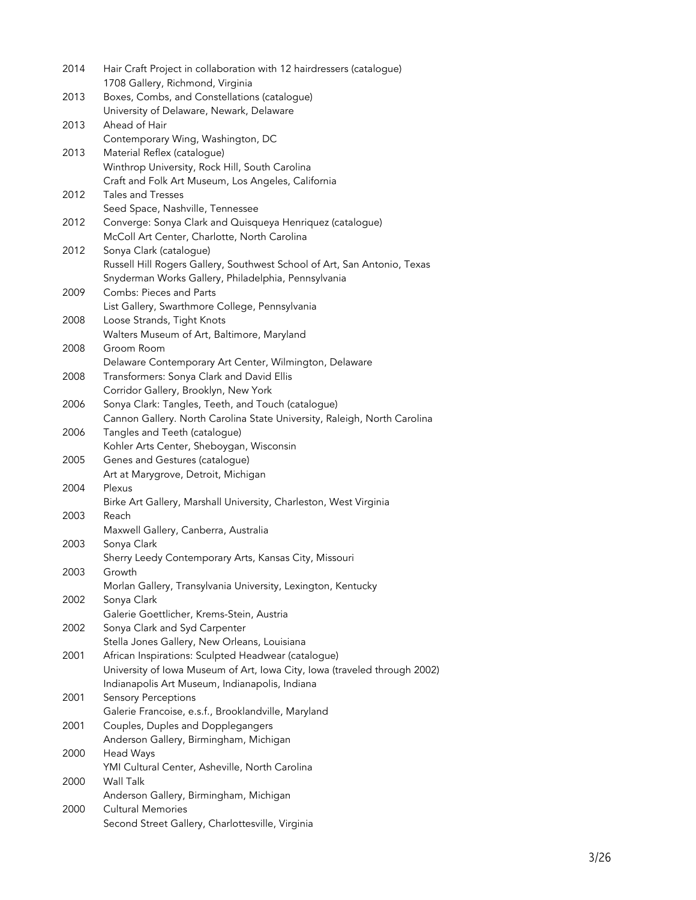| 2014 | Hair Craft Project in collaboration with 12 hairdressers (catalogue)<br>1708 Gallery, Richmond, Virginia |
|------|----------------------------------------------------------------------------------------------------------|
| 2013 | Boxes, Combs, and Constellations (catalogue)                                                             |
|      | University of Delaware, Newark, Delaware                                                                 |
| 2013 | Ahead of Hair                                                                                            |
|      | Contemporary Wing, Washington, DC                                                                        |
| 2013 | Material Reflex (catalogue)                                                                              |
|      | Winthrop University, Rock Hill, South Carolina                                                           |
|      | Craft and Folk Art Museum, Los Angeles, California                                                       |
| 2012 | Tales and Tresses                                                                                        |
|      | Seed Space, Nashville, Tennessee                                                                         |
| 2012 | Converge: Sonya Clark and Quisqueya Henriquez (catalogue)                                                |
| 2012 | McColl Art Center, Charlotte, North Carolina                                                             |
|      | Sonya Clark (catalogue)<br>Russell Hill Rogers Gallery, Southwest School of Art, San Antonio, Texas      |
|      | Snyderman Works Gallery, Philadelphia, Pennsylvania                                                      |
| 2009 | Combs: Pieces and Parts                                                                                  |
|      | List Gallery, Swarthmore College, Pennsylvania                                                           |
| 2008 | Loose Strands, Tight Knots                                                                               |
|      | Walters Museum of Art, Baltimore, Maryland                                                               |
| 2008 | Groom Room                                                                                               |
|      | Delaware Contemporary Art Center, Wilmington, Delaware                                                   |
| 2008 | Transformers: Sonya Clark and David Ellis                                                                |
|      | Corridor Gallery, Brooklyn, New York                                                                     |
| 2006 | Sonya Clark: Tangles, Teeth, and Touch (catalogue)                                                       |
|      | Cannon Gallery. North Carolina State University, Raleigh, North Carolina                                 |
| 2006 | Tangles and Teeth (catalogue)                                                                            |
|      | Kohler Arts Center, Sheboygan, Wisconsin                                                                 |
| 2005 | Genes and Gestures (catalogue)                                                                           |
|      | Art at Marygrove, Detroit, Michigan                                                                      |
| 2004 | Plexus                                                                                                   |
|      | Birke Art Gallery, Marshall University, Charleston, West Virginia                                        |
| 2003 | Reach                                                                                                    |
|      | Maxwell Gallery, Canberra, Australia                                                                     |
| 2003 | Sonya Clark                                                                                              |
| 2003 | Sherry Leedy Contemporary Arts, Kansas City, Missouri<br>Growth                                          |
|      | Morlan Gallery, Transylvania University, Lexington, Kentucky                                             |
| 2002 | Sonya Clark                                                                                              |
|      | Galerie Goettlicher, Krems-Stein, Austria                                                                |
| 2002 | Sonya Clark and Syd Carpenter                                                                            |
|      | Stella Jones Gallery, New Orleans, Louisiana                                                             |
| 2001 | African Inspirations: Sculpted Headwear (catalogue)                                                      |
|      | University of Iowa Museum of Art, Iowa City, Iowa (traveled through 2002)                                |
|      | Indianapolis Art Museum, Indianapolis, Indiana                                                           |
| 2001 | <b>Sensory Perceptions</b>                                                                               |
|      | Galerie Francoise, e.s.f., Brooklandville, Maryland                                                      |
| 2001 | Couples, Duples and Dopplegangers                                                                        |
|      | Anderson Gallery, Birmingham, Michigan                                                                   |
| 2000 | Head Ways                                                                                                |
|      | YMI Cultural Center, Asheville, North Carolina                                                           |
| 2000 | Wall Talk                                                                                                |
|      | Anderson Gallery, Birmingham, Michigan                                                                   |
| 2000 | <b>Cultural Memories</b>                                                                                 |
|      | Second Street Gallery, Charlottesville, Virginia                                                         |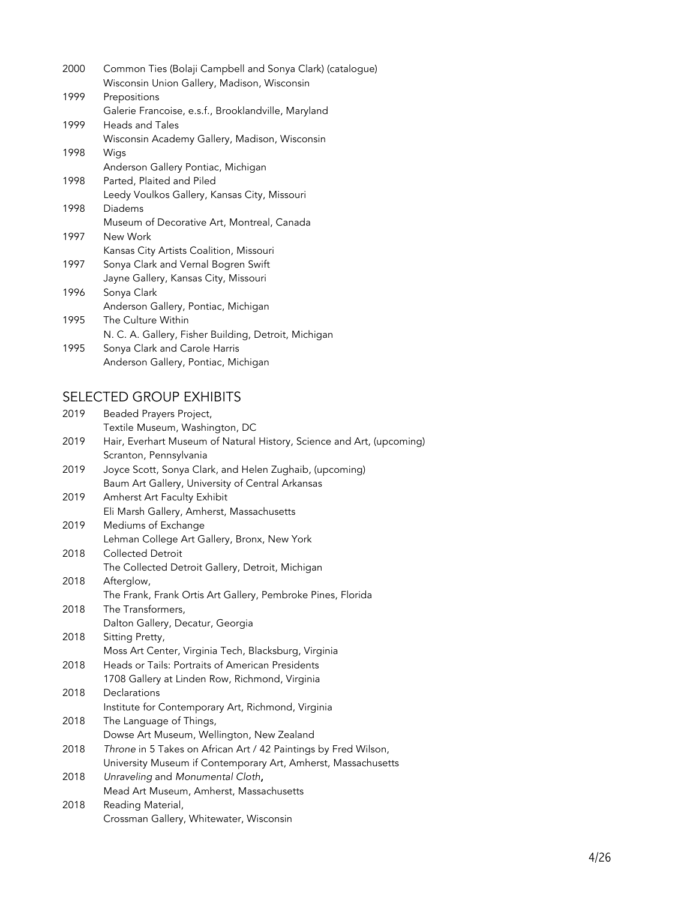| 2000 | Common Ties (Bolaji Campbell and Sonya Clark) (catalogue)<br>Wisconsin Union Gallery, Madison, Wisconsin |
|------|----------------------------------------------------------------------------------------------------------|
|      |                                                                                                          |
| 1999 | Prepositions                                                                                             |
|      | Galerie Francoise, e.s.f., Brooklandville, Maryland                                                      |
| 1999 | <b>Heads and Tales</b>                                                                                   |
|      | Wisconsin Academy Gallery, Madison, Wisconsin                                                            |
| 1998 | Wigs                                                                                                     |
|      | Anderson Gallery Pontiac, Michigan                                                                       |
| 1998 | Parted, Plaited and Piled                                                                                |
|      | Leedy Voulkos Gallery, Kansas City, Missouri                                                             |
| 1998 | Diadems                                                                                                  |
|      | Museum of Decorative Art, Montreal, Canada                                                               |
| 1997 | New Work                                                                                                 |
|      | Kansas City Artists Coalition, Missouri                                                                  |
| 1997 | Sonya Clark and Vernal Bogren Swift                                                                      |
|      | Jayne Gallery, Kansas City, Missouri                                                                     |
| 1996 | Sonya Clark                                                                                              |
|      | Anderson Gallery, Pontiac, Michigan                                                                      |
| 1995 | The Culture Within                                                                                       |
|      | N. C. A. Gallery, Fisher Building, Detroit, Michigan                                                     |
| 1995 | Sonya Clark and Carole Harris                                                                            |
|      | Anderson Gallery, Pontiac, Michigan                                                                      |

# SELECTED GROUP EXHIBITS

| 2019 | Beaded Prayers Project,                                               |
|------|-----------------------------------------------------------------------|
|      | Textile Museum, Washington, DC                                        |
| 2019 | Hair, Everhart Museum of Natural History, Science and Art, (upcoming) |
|      | Scranton, Pennsylvania                                                |
| 2019 | Joyce Scott, Sonya Clark, and Helen Zughaib, (upcoming)               |
|      | Baum Art Gallery, University of Central Arkansas                      |
| 2019 | Amherst Art Faculty Exhibit                                           |
|      | Eli Marsh Gallery, Amherst, Massachusetts                             |
| 2019 | Mediums of Exchange                                                   |
|      | Lehman College Art Gallery, Bronx, New York                           |
| 2018 | <b>Collected Detroit</b>                                              |
|      | The Collected Detroit Gallery, Detroit, Michigan                      |
| 2018 | Afterglow,                                                            |
|      | The Frank, Frank Ortis Art Gallery, Pembroke Pines, Florida           |
| 2018 | The Transformers,                                                     |
|      | Dalton Gallery, Decatur, Georgia                                      |
| 2018 | Sitting Pretty,                                                       |
|      | Moss Art Center, Virginia Tech, Blacksburg, Virginia                  |
| 2018 | Heads or Tails: Portraits of American Presidents                      |
|      | 1708 Gallery at Linden Row, Richmond, Virginia                        |
| 2018 | Declarations                                                          |
|      | Institute for Contemporary Art, Richmond, Virginia                    |
| 2018 | The Language of Things,                                               |
|      | Dowse Art Museum, Wellington, New Zealand                             |
| 2018 | Throne in 5 Takes on African Art / 42 Paintings by Fred Wilson,       |
|      | University Museum if Contemporary Art, Amherst, Massachusetts         |
| 2018 | Unraveling and Monumental Cloth,                                      |
|      | Mead Art Museum, Amherst, Massachusetts                               |
| 2018 | Reading Material,                                                     |
|      | Crossman Gallery, Whitewater, Wisconsin                               |
|      |                                                                       |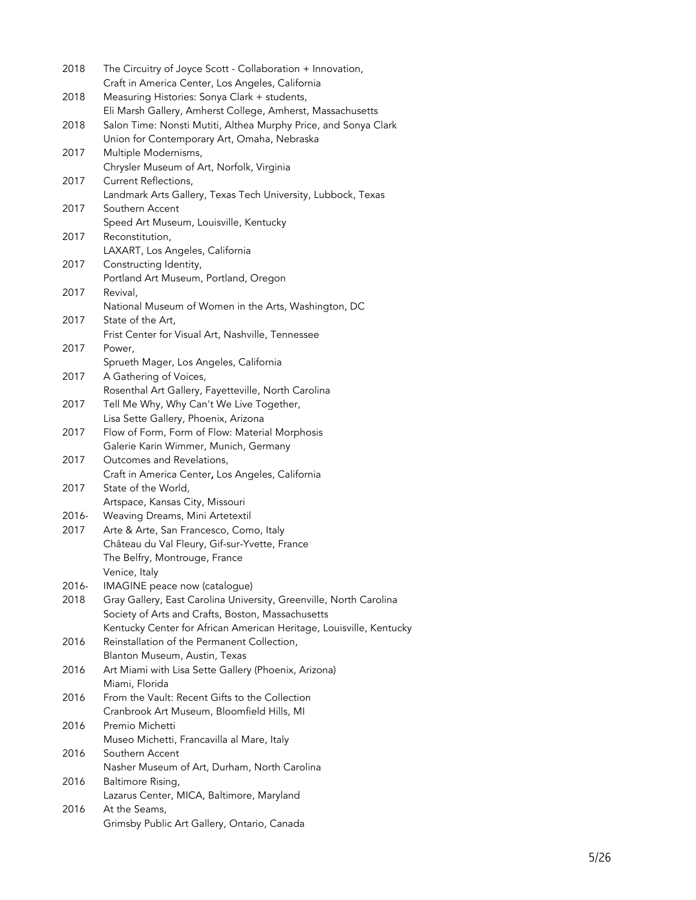| 2018  | The Circuitry of Joyce Scott - Collaboration + Innovation,<br>Craft in America Center, Los Angeles, California |
|-------|----------------------------------------------------------------------------------------------------------------|
| 2018  | Measuring Histories: Sonya Clark + students,                                                                   |
|       | Eli Marsh Gallery, Amherst College, Amherst, Massachusetts                                                     |
| 2018  | Salon Time: Nonsti Mutiti, Althea Murphy Price, and Sonya Clark                                                |
|       | Union for Contemporary Art, Omaha, Nebraska                                                                    |
| 2017  | Multiple Modernisms,                                                                                           |
|       | Chrysler Museum of Art, Norfolk, Virginia                                                                      |
| 2017  | Current Reflections,                                                                                           |
|       | Landmark Arts Gallery, Texas Tech University, Lubbock, Texas                                                   |
| 2017  | Southern Accent                                                                                                |
|       | Speed Art Museum, Louisville, Kentucky                                                                         |
| 2017  | Reconstitution,                                                                                                |
|       | LAXART, Los Angeles, California                                                                                |
| 2017  | Constructing Identity,                                                                                         |
| 2017  | Portland Art Museum, Portland, Oregon<br>Revival,                                                              |
|       | National Museum of Women in the Arts, Washington, DC                                                           |
| 2017  | State of the Art,                                                                                              |
|       | Frist Center for Visual Art, Nashville, Tennessee                                                              |
| 2017  | Power,                                                                                                         |
|       | Sprueth Mager, Los Angeles, California                                                                         |
| 2017  | A Gathering of Voices,                                                                                         |
|       | Rosenthal Art Gallery, Fayetteville, North Carolina                                                            |
| 2017  | Tell Me Why, Why Can't We Live Together,                                                                       |
|       | Lisa Sette Gallery, Phoenix, Arizona                                                                           |
| 2017  | Flow of Form, Form of Flow: Material Morphosis                                                                 |
|       | Galerie Karin Wimmer, Munich, Germany                                                                          |
| 2017  | Outcomes and Revelations,                                                                                      |
|       | Craft in America Center, Los Angeles, California                                                               |
| 2017  | State of the World,                                                                                            |
|       | Artspace, Kansas City, Missouri                                                                                |
| 2016- | Weaving Dreams, Mini Artetextil                                                                                |
| 2017  | Arte & Arte, San Francesco, Como, Italy                                                                        |
|       | Château du Val Fleury, Gif-sur-Yvette, France                                                                  |
|       | The Belfry, Montrouge, France                                                                                  |
|       | Venice, Italy                                                                                                  |
| 2016- | IMAGINE peace now (catalogue)                                                                                  |
| 2018  | Gray Gallery, East Carolina University, Greenville, North Carolina                                             |
|       | Society of Arts and Crafts, Boston, Massachusetts                                                              |
|       | Kentucky Center for African American Heritage, Louisville, Kentucky                                            |
| 2016  | Reinstallation of the Permanent Collection,                                                                    |
|       | Blanton Museum, Austin, Texas                                                                                  |
| 2016  | Art Miami with Lisa Sette Gallery (Phoenix, Arizona)<br>Miami, Florida                                         |
| 2016  | From the Vault: Recent Gifts to the Collection                                                                 |
|       | Cranbrook Art Museum, Bloomfield Hills, MI                                                                     |
| 2016  | Premio Michetti                                                                                                |
|       | Museo Michetti, Francavilla al Mare, Italy                                                                     |
| 2016  | Southern Accent                                                                                                |
|       | Nasher Museum of Art, Durham, North Carolina                                                                   |
| 2016  | Baltimore Rising,                                                                                              |
|       | Lazarus Center, MICA, Baltimore, Maryland                                                                      |
| 2016  | At the Seams,                                                                                                  |
|       | Grimsby Public Art Gallery, Ontario, Canada                                                                    |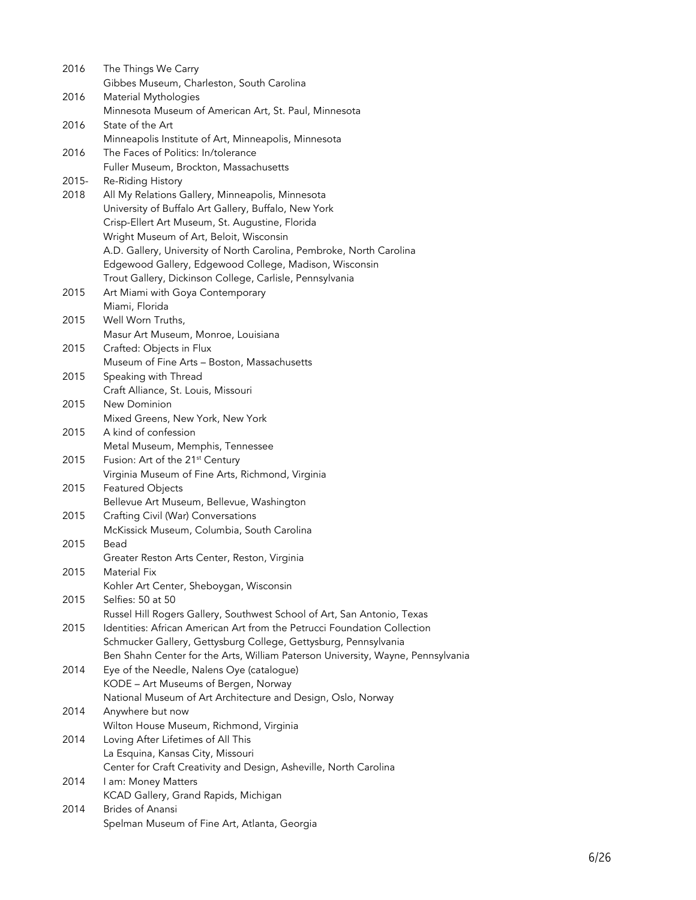| 2016  | The Things We Carry                                                             |
|-------|---------------------------------------------------------------------------------|
|       | Gibbes Museum, Charleston, South Carolina                                       |
| 2016  | Material Mythologies                                                            |
|       | Minnesota Museum of American Art, St. Paul, Minnesota                           |
| 2016  | State of the Art                                                                |
|       | Minneapolis Institute of Art, Minneapolis, Minnesota                            |
| 2016  | The Faces of Politics: In/tolerance                                             |
|       | Fuller Museum, Brockton, Massachusetts                                          |
| 2015- | Re-Riding History                                                               |
| 2018  | All My Relations Gallery, Minneapolis, Minnesota                                |
|       | University of Buffalo Art Gallery, Buffalo, New York                            |
|       | Crisp-Ellert Art Museum, St. Augustine, Florida                                 |
|       | Wright Museum of Art, Beloit, Wisconsin                                         |
|       | A.D. Gallery, University of North Carolina, Pembroke, North Carolina            |
|       | Edgewood Gallery, Edgewood College, Madison, Wisconsin                          |
|       | Trout Gallery, Dickinson College, Carlisle, Pennsylvania                        |
| 2015  | Art Miami with Goya Contemporary                                                |
|       | Miami, Florida                                                                  |
| 2015  | Well Worn Truths,                                                               |
|       | Masur Art Museum, Monroe, Louisiana                                             |
| 2015  | Crafted: Objects in Flux                                                        |
|       | Museum of Fine Arts - Boston, Massachusetts                                     |
| 2015  | Speaking with Thread                                                            |
|       | Craft Alliance, St. Louis, Missouri                                             |
| 2015  | New Dominion                                                                    |
|       | Mixed Greens, New York, New York                                                |
| 2015  | A kind of confession                                                            |
|       | Metal Museum, Memphis, Tennessee                                                |
| 2015  | Fusion: Art of the 21 <sup>st</sup> Century                                     |
|       | Virginia Museum of Fine Arts, Richmond, Virginia                                |
| 2015  | Featured Objects                                                                |
|       | Bellevue Art Museum, Bellevue, Washington                                       |
| 2015  | Crafting Civil (War) Conversations                                              |
|       | McKissick Museum, Columbia, South Carolina                                      |
| 2015  | Bead                                                                            |
|       | Greater Reston Arts Center, Reston, Virginia                                    |
| 2015  | Material Fix                                                                    |
|       | Kohler Art Center, Sheboygan, Wisconsin                                         |
| 2015  | Selfies: 50 at 50                                                               |
|       | Russel Hill Rogers Gallery, Southwest School of Art, San Antonio, Texas         |
| 2015  | Identities: African American Art from the Petrucci Foundation Collection        |
|       | Schmucker Gallery, Gettysburg College, Gettysburg, Pennsylvania                 |
|       | Ben Shahn Center for the Arts, William Paterson University, Wayne, Pennsylvania |
| 2014  | Eye of the Needle, Nalens Oye (catalogue)                                       |
|       | KODE - Art Museums of Bergen, Norway                                            |
|       | National Museum of Art Architecture and Design, Oslo, Norway                    |
| 2014  | Anywhere but now                                                                |
|       | Wilton House Museum, Richmond, Virginia                                         |
| 2014  | Loving After Lifetimes of All This                                              |
|       | La Esquina, Kansas City, Missouri                                               |
|       | Center for Craft Creativity and Design, Asheville, North Carolina               |
| 2014  | I am: Money Matters                                                             |
|       | KCAD Gallery, Grand Rapids, Michigan                                            |
| 2014  | <b>Brides of Anansi</b>                                                         |
|       | Spelman Museum of Fine Art, Atlanta, Georgia                                    |
|       |                                                                                 |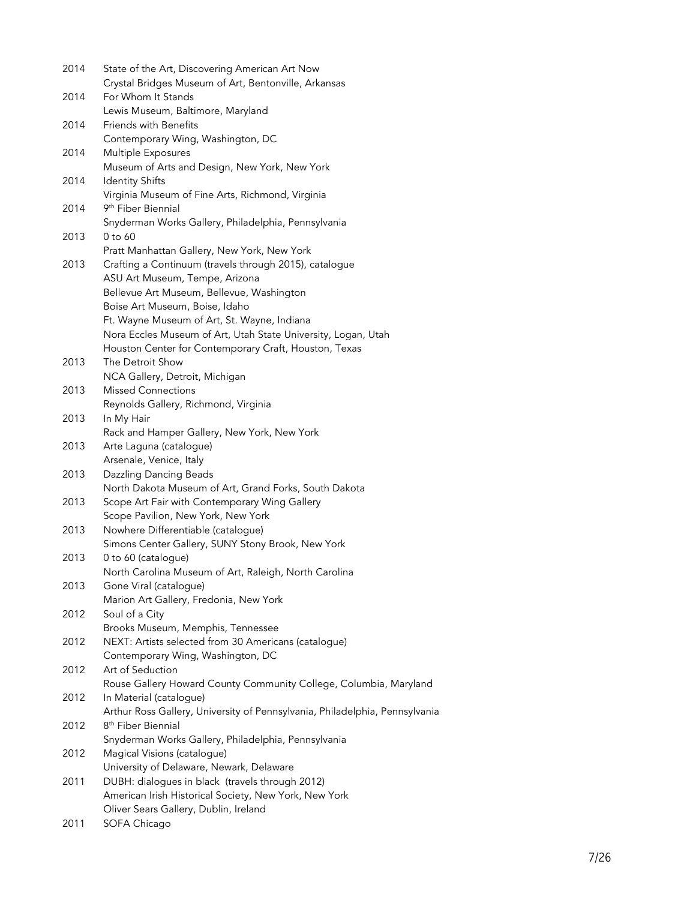| 2014 | State of the Art, Discovering American Art Now<br>Crystal Bridges Museum of Art, Bentonville, Arkansas |
|------|--------------------------------------------------------------------------------------------------------|
| 2014 | For Whom It Stands                                                                                     |
| 2014 | Lewis Museum, Baltimore, Maryland<br>Friends with Benefits                                             |
|      | Contemporary Wing, Washington, DC                                                                      |
| 2014 | Multiple Exposures                                                                                     |
|      | Museum of Arts and Design, New York, New York                                                          |
| 2014 | <b>Identity Shifts</b>                                                                                 |
|      | Virginia Museum of Fine Arts, Richmond, Virginia                                                       |
| 2014 | 9 <sup>th</sup> Fiber Biennial                                                                         |
|      | Snyderman Works Gallery, Philadelphia, Pennsylvania                                                    |
| 2013 | 0 to 60                                                                                                |
|      | Pratt Manhattan Gallery, New York, New York                                                            |
| 2013 | Crafting a Continuum (travels through 2015), catalogue                                                 |
|      | ASU Art Museum, Tempe, Arizona                                                                         |
|      | Bellevue Art Museum, Bellevue, Washington                                                              |
|      | Boise Art Museum, Boise, Idaho                                                                         |
|      | Ft. Wayne Museum of Art, St. Wayne, Indiana                                                            |
|      | Nora Eccles Museum of Art, Utah State University, Logan, Utah                                          |
|      | Houston Center for Contemporary Craft, Houston, Texas                                                  |
| 2013 | The Detroit Show                                                                                       |
| 2013 | NCA Gallery, Detroit, Michigan<br><b>Missed Connections</b>                                            |
|      | Reynolds Gallery, Richmond, Virginia                                                                   |
| 2013 | In My Hair                                                                                             |
|      | Rack and Hamper Gallery, New York, New York                                                            |
| 2013 | Arte Laguna (catalogue)                                                                                |
|      | Arsenale, Venice, Italy                                                                                |
| 2013 | <b>Dazzling Dancing Beads</b>                                                                          |
|      | North Dakota Museum of Art, Grand Forks, South Dakota                                                  |
| 2013 | Scope Art Fair with Contemporary Wing Gallery                                                          |
|      | Scope Pavilion, New York, New York                                                                     |
| 2013 | Nowhere Differentiable (catalogue)                                                                     |
|      | Simons Center Gallery, SUNY Stony Brook, New York                                                      |
| 2013 | 0 to 60 (catalogue)                                                                                    |
|      | North Carolina Museum of Art, Raleigh, North Carolina                                                  |
| 2013 | Gone Viral (catalogue)                                                                                 |
|      | Marion Art Gallery, Fredonia, New York                                                                 |
| 2012 | Soul of a City                                                                                         |
|      | Brooks Museum, Memphis, Tennessee                                                                      |
| 2012 | NEXT: Artists selected from 30 Americans (catalogue)                                                   |
|      | Contemporary Wing, Washington, DC                                                                      |
| 2012 | Art of Seduction                                                                                       |
|      | Rouse Gallery Howard County Community College, Columbia, Maryland                                      |
| 2012 | In Material (catalogue)                                                                                |
|      | Arthur Ross Gallery, University of Pennsylvania, Philadelphia, Pennsylvania                            |
| 2012 | 8 <sup>th</sup> Fiber Biennial                                                                         |
|      | Snyderman Works Gallery, Philadelphia, Pennsylvania                                                    |
| 2012 | Magical Visions (catalogue)                                                                            |
|      | University of Delaware, Newark, Delaware                                                               |
| 2011 | DUBH: dialogues in black (travels through 2012)                                                        |
|      | American Irish Historical Society, New York, New York                                                  |
|      | Oliver Sears Gallery, Dublin, Ireland                                                                  |
| 2011 | SOFA Chicago                                                                                           |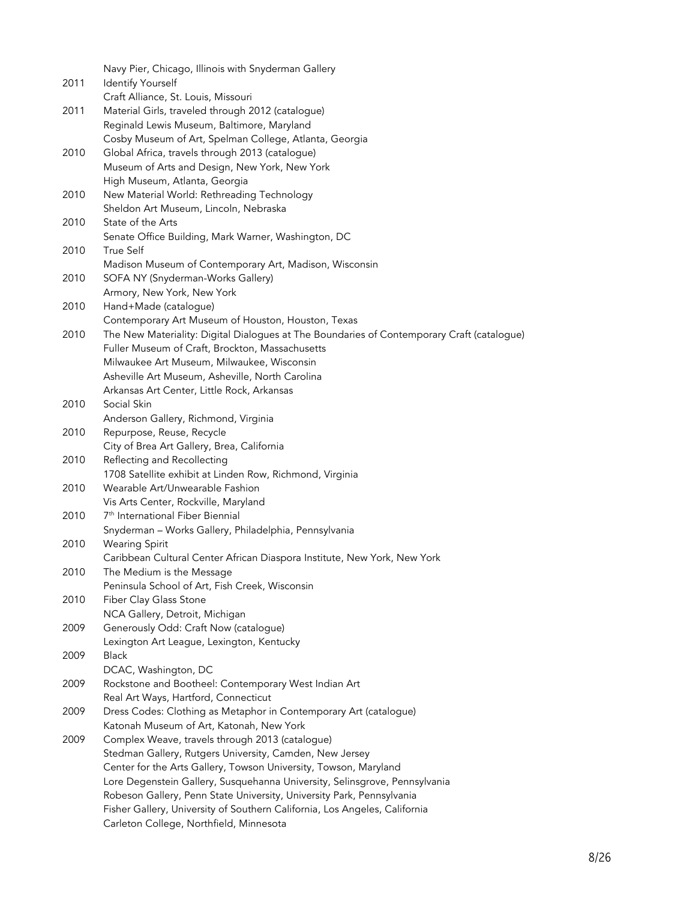|      | Navy Pier, Chicago, Illinois with Snyderman Gallery                                           |
|------|-----------------------------------------------------------------------------------------------|
| 2011 | <b>Identify Yourself</b>                                                                      |
| 2011 | Craft Alliance, St. Louis, Missouri<br>Material Girls, traveled through 2012 (catalogue)      |
|      | Reginald Lewis Museum, Baltimore, Maryland                                                    |
|      | Cosby Museum of Art, Spelman College, Atlanta, Georgia                                        |
| 2010 | Global Africa, travels through 2013 (catalogue)                                               |
|      | Museum of Arts and Design, New York, New York                                                 |
|      | High Museum, Atlanta, Georgia                                                                 |
| 2010 | New Material World: Rethreading Technology                                                    |
|      | Sheldon Art Museum, Lincoln, Nebraska                                                         |
| 2010 | State of the Arts                                                                             |
|      | Senate Office Building, Mark Warner, Washington, DC                                           |
| 2010 | True Self                                                                                     |
|      | Madison Museum of Contemporary Art, Madison, Wisconsin                                        |
| 2010 | SOFA NY (Snyderman-Works Gallery)                                                             |
|      | Armory, New York, New York                                                                    |
| 2010 | Hand+Made (catalogue)                                                                         |
|      | Contemporary Art Museum of Houston, Houston, Texas                                            |
| 2010 | The New Materiality: Digital Dialogues at The Boundaries of Contemporary Craft (catalogue)    |
|      | Fuller Museum of Craft, Brockton, Massachusetts                                               |
|      | Milwaukee Art Museum, Milwaukee, Wisconsin<br>Asheville Art Museum, Asheville, North Carolina |
|      | Arkansas Art Center, Little Rock, Arkansas                                                    |
| 2010 | Social Skin                                                                                   |
|      | Anderson Gallery, Richmond, Virginia                                                          |
| 2010 | Repurpose, Reuse, Recycle                                                                     |
|      | City of Brea Art Gallery, Brea, California                                                    |
| 2010 | Reflecting and Recollecting                                                                   |
|      | 1708 Satellite exhibit at Linden Row, Richmond, Virginia                                      |
| 2010 | Wearable Art/Unwearable Fashion                                                               |
|      | Vis Arts Center, Rockville, Maryland                                                          |
| 2010 | 7 <sup>th</sup> International Fiber Biennial                                                  |
|      | Snyderman - Works Gallery, Philadelphia, Pennsylvania                                         |
| 2010 | <b>Wearing Spirit</b>                                                                         |
|      | Caribbean Cultural Center African Diaspora Institute, New York, New York                      |
| 2010 | The Medium is the Message                                                                     |
|      | Peninsula School of Art, Fish Creek, Wisconsin                                                |
| 2010 | Fiber Clay Glass Stone<br>NCA Gallery, Detroit, Michigan                                      |
| 2009 | Generously Odd: Craft Now (catalogue)                                                         |
|      | Lexington Art League, Lexington, Kentucky                                                     |
| 2009 | <b>Black</b>                                                                                  |
|      | DCAC, Washington, DC                                                                          |
| 2009 | Rockstone and Bootheel: Contemporary West Indian Art                                          |
|      | Real Art Ways, Hartford, Connecticut                                                          |
| 2009 | Dress Codes: Clothing as Metaphor in Contemporary Art (catalogue)                             |
|      | Katonah Museum of Art, Katonah, New York                                                      |
| 2009 | Complex Weave, travels through 2013 (catalogue)                                               |
|      | Stedman Gallery, Rutgers University, Camden, New Jersey                                       |
|      | Center for the Arts Gallery, Towson University, Towson, Maryland                              |
|      | Lore Degenstein Gallery, Susquehanna University, Selinsgrove, Pennsylvania                    |
|      | Robeson Gallery, Penn State University, University Park, Pennsylvania                         |
|      | Fisher Gallery, University of Southern California, Los Angeles, California                    |
|      | Carleton College, Northfield, Minnesota                                                       |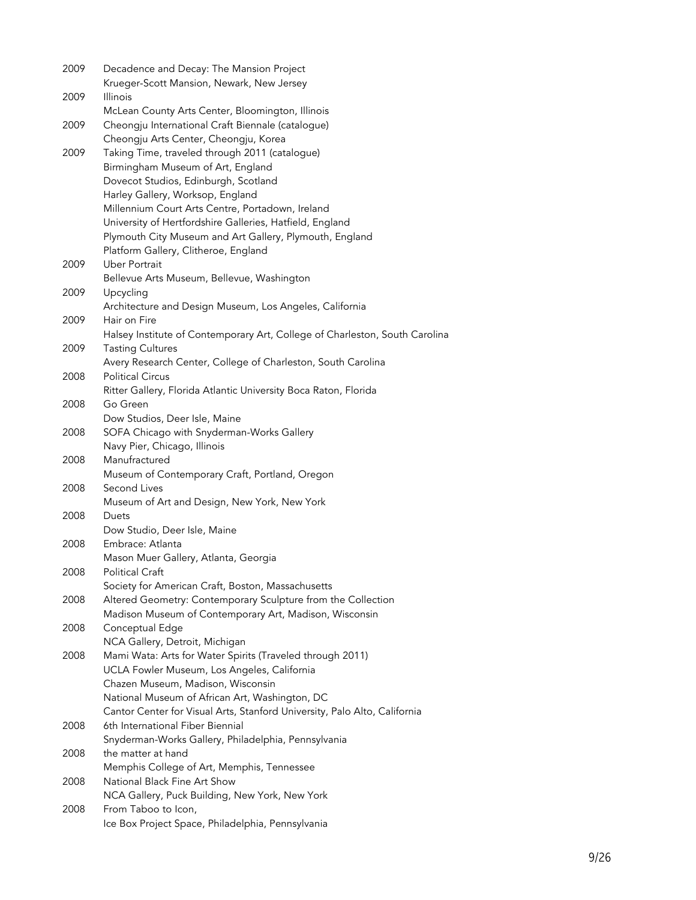| 2009 | Decadence and Decay: The Mansion Project                                                               |
|------|--------------------------------------------------------------------------------------------------------|
|      | Krueger-Scott Mansion, Newark, New Jersey                                                              |
| 2009 | <b>Illinois</b>                                                                                        |
|      | McLean County Arts Center, Bloomington, Illinois                                                       |
| 2009 | Cheongju International Craft Biennale (catalogue)                                                      |
|      | Cheongju Arts Center, Cheongju, Korea                                                                  |
| 2009 | Taking Time, traveled through 2011 (catalogue)                                                         |
|      | Birmingham Museum of Art, England                                                                      |
|      | Dovecot Studios, Edinburgh, Scotland                                                                   |
|      | Harley Gallery, Worksop, England                                                                       |
|      | Millennium Court Arts Centre, Portadown, Ireland                                                       |
|      | University of Hertfordshire Galleries, Hatfield, England                                               |
|      | Plymouth City Museum and Art Gallery, Plymouth, England                                                |
|      | Platform Gallery, Clitheroe, England                                                                   |
| 2009 | Uber Portrait                                                                                          |
|      | Bellevue Arts Museum, Bellevue, Washington                                                             |
| 2009 | Upcycling                                                                                              |
|      | Architecture and Design Museum, Los Angeles, California                                                |
| 2009 | Hair on Fire                                                                                           |
| 2009 | Halsey Institute of Contemporary Art, College of Charleston, South Carolina<br><b>Tasting Cultures</b> |
|      | Avery Research Center, College of Charleston, South Carolina                                           |
| 2008 | <b>Political Circus</b>                                                                                |
|      | Ritter Gallery, Florida Atlantic University Boca Raton, Florida                                        |
| 2008 | Go Green                                                                                               |
|      | Dow Studios, Deer Isle, Maine                                                                          |
| 2008 | SOFA Chicago with Snyderman-Works Gallery                                                              |
|      | Navy Pier, Chicago, Illinois                                                                           |
| 2008 | Manufractured                                                                                          |
|      | Museum of Contemporary Craft, Portland, Oregon                                                         |
| 2008 | Second Lives                                                                                           |
|      | Museum of Art and Design, New York, New York                                                           |
| 2008 | Duets                                                                                                  |
|      | Dow Studio, Deer Isle, Maine                                                                           |
| 2008 | Embrace: Atlanta                                                                                       |
|      | Mason Muer Gallery, Atlanta, Georgia                                                                   |
| 2008 | Political Craft                                                                                        |
|      | Society for American Craft, Boston, Massachusetts                                                      |
| 2008 | Altered Geometry: Contemporary Sculpture from the Collection                                           |
|      | Madison Museum of Contemporary Art, Madison, Wisconsin                                                 |
| 2008 | Conceptual Edge                                                                                        |
|      | NCA Gallery, Detroit, Michigan                                                                         |
| 2008 | Mami Wata: Arts for Water Spirits (Traveled through 2011)                                              |
|      | UCLA Fowler Museum, Los Angeles, California<br>Chazen Museum, Madison, Wisconsin                       |
|      | National Museum of African Art, Washington, DC                                                         |
|      | Cantor Center for Visual Arts, Stanford University, Palo Alto, California                              |
| 2008 | 6th International Fiber Biennial                                                                       |
|      | Snyderman-Works Gallery, Philadelphia, Pennsylvania                                                    |
| 2008 | the matter at hand                                                                                     |
|      | Memphis College of Art, Memphis, Tennessee                                                             |
| 2008 | National Black Fine Art Show                                                                           |
|      | NCA Gallery, Puck Building, New York, New York                                                         |
| 2008 | From Taboo to Icon,                                                                                    |
|      | Ice Box Project Space, Philadelphia, Pennsylvania                                                      |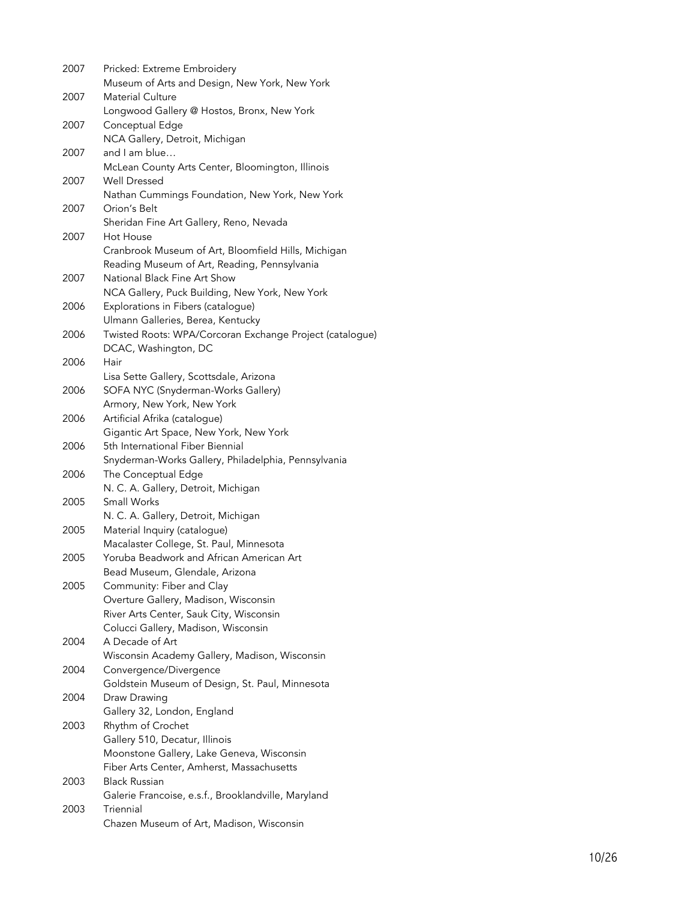| 2007 | Pricked: Extreme Embroidery<br>Museum of Arts and Design, New York, New York |
|------|------------------------------------------------------------------------------|
| 2007 | <b>Material Culture</b>                                                      |
|      | Longwood Gallery @ Hostos, Bronx, New York                                   |
| 2007 | Conceptual Edge                                                              |
|      | NCA Gallery, Detroit, Michigan                                               |
| 2007 | and I am blue                                                                |
|      | McLean County Arts Center, Bloomington, Illinois                             |
| 2007 | Well Dressed<br>Nathan Cummings Foundation, New York, New York               |
| 2007 | Orion's Belt                                                                 |
|      | Sheridan Fine Art Gallery, Reno, Nevada                                      |
| 2007 | Hot House                                                                    |
|      | Cranbrook Museum of Art, Bloomfield Hills, Michigan                          |
|      | Reading Museum of Art, Reading, Pennsylvania                                 |
| 2007 | National Black Fine Art Show                                                 |
|      | NCA Gallery, Puck Building, New York, New York                               |
| 2006 | Explorations in Fibers (catalogue)                                           |
|      | Ulmann Galleries, Berea, Kentucky                                            |
| 2006 | Twisted Roots: WPA/Corcoran Exchange Project (catalogue)                     |
|      | DCAC, Washington, DC                                                         |
| 2006 | Hair                                                                         |
|      | Lisa Sette Gallery, Scottsdale, Arizona                                      |
| 2006 | SOFA NYC (Snyderman-Works Gallery)                                           |
|      | Armory, New York, New York                                                   |
| 2006 | Artificial Afrika (catalogue)                                                |
|      | Gigantic Art Space, New York, New York                                       |
| 2006 | 5th International Fiber Biennial                                             |
|      | Snyderman-Works Gallery, Philadelphia, Pennsylvania                          |
| 2006 | The Conceptual Edge                                                          |
|      | N. C. A. Gallery, Detroit, Michigan                                          |
| 2005 | Small Works                                                                  |
|      | N. C. A. Gallery, Detroit, Michigan                                          |
| 2005 | Material Inquiry (catalogue)                                                 |
|      | Macalaster College, St. Paul, Minnesota                                      |
| 2005 | Yoruba Beadwork and African American Art                                     |
|      | Bead Museum, Glendale, Arizona                                               |
| 2005 | Community: Fiber and Clay                                                    |
|      | Overture Gallery, Madison, Wisconsin                                         |
|      | River Arts Center, Sauk City, Wisconsin                                      |
|      | Colucci Gallery, Madison, Wisconsin                                          |
| 2004 | A Decade of Art                                                              |
|      | Wisconsin Academy Gallery, Madison, Wisconsin                                |
| 2004 | Convergence/Divergence                                                       |
|      | Goldstein Museum of Design, St. Paul, Minnesota                              |
| 2004 | Draw Drawing                                                                 |
|      | Gallery 32, London, England                                                  |
| 2003 | Rhythm of Crochet                                                            |
|      | Gallery 510, Decatur, Illinois                                               |
|      | Moonstone Gallery, Lake Geneva, Wisconsin                                    |
|      | Fiber Arts Center, Amherst, Massachusetts                                    |
| 2003 | <b>Black Russian</b>                                                         |
|      | Galerie Francoise, e.s.f., Brooklandville, Maryland                          |
| 2003 | Triennial                                                                    |
|      | Chazen Museum of Art, Madison, Wisconsin                                     |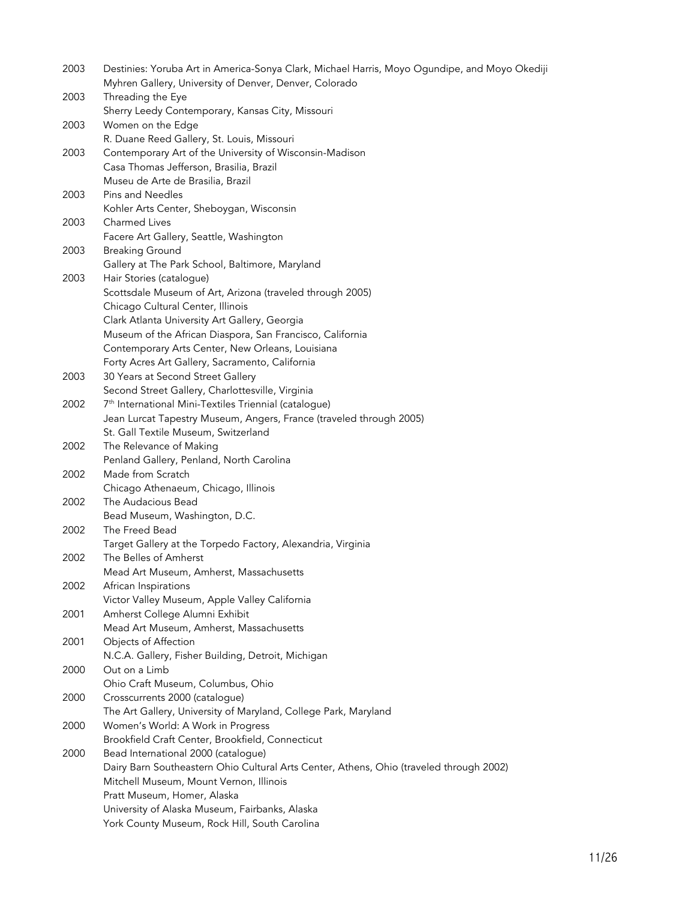| 2003 | Destinies: Yoruba Art in America-Sonya Clark, Michael Harris, Moyo Ogundipe, and Moyo Okediji |
|------|-----------------------------------------------------------------------------------------------|
|      | Myhren Gallery, University of Denver, Denver, Colorado                                        |
| 2003 | Threading the Eye                                                                             |
|      | Sherry Leedy Contemporary, Kansas City, Missouri                                              |
| 2003 | Women on the Edge                                                                             |
|      | R. Duane Reed Gallery, St. Louis, Missouri                                                    |
| 2003 | Contemporary Art of the University of Wisconsin-Madison                                       |
|      | Casa Thomas Jefferson, Brasilia, Brazil                                                       |
|      | Museu de Arte de Brasilia, Brazil                                                             |
| 2003 | <b>Pins and Needles</b>                                                                       |
|      | Kohler Arts Center, Sheboygan, Wisconsin                                                      |
| 2003 | <b>Charmed Lives</b>                                                                          |
|      | Facere Art Gallery, Seattle, Washington                                                       |
| 2003 | <b>Breaking Ground</b>                                                                        |
|      | Gallery at The Park School, Baltimore, Maryland                                               |
| 2003 | Hair Stories (catalogue)                                                                      |
|      | Scottsdale Museum of Art, Arizona (traveled through 2005)                                     |
|      | Chicago Cultural Center, Illinois                                                             |
|      | Clark Atlanta University Art Gallery, Georgia                                                 |
|      | Museum of the African Diaspora, San Francisco, California                                     |
|      |                                                                                               |
|      | Contemporary Arts Center, New Orleans, Louisiana                                              |
|      | Forty Acres Art Gallery, Sacramento, California                                               |
| 2003 | 30 Years at Second Street Gallery                                                             |
|      | Second Street Gallery, Charlottesville, Virginia                                              |
| 2002 | 7 <sup>th</sup> International Mini-Textiles Triennial (catalogue)                             |
|      | Jean Lurcat Tapestry Museum, Angers, France (traveled through 2005)                           |
|      | St. Gall Textile Museum, Switzerland                                                          |
| 2002 | The Relevance of Making                                                                       |
|      | Penland Gallery, Penland, North Carolina                                                      |
| 2002 | Made from Scratch                                                                             |
|      | Chicago Athenaeum, Chicago, Illinois                                                          |
| 2002 | The Audacious Bead                                                                            |
|      | Bead Museum, Washington, D.C.                                                                 |
| 2002 | The Freed Bead                                                                                |
|      | Target Gallery at the Torpedo Factory, Alexandria, Virginia                                   |
| 2002 | The Belles of Amherst                                                                         |
|      | Mead Art Museum, Amherst, Massachusetts                                                       |
| 2002 | African Inspirations                                                                          |
|      | Victor Valley Museum, Apple Valley California                                                 |
| 2001 | Amherst College Alumni Exhibit                                                                |
|      | Mead Art Museum, Amherst, Massachusetts                                                       |
| 2001 | Objects of Affection                                                                          |
|      | N.C.A. Gallery, Fisher Building, Detroit, Michigan                                            |
| 2000 | Out on a Limb                                                                                 |
|      | Ohio Craft Museum, Columbus, Ohio                                                             |
| 2000 | Crosscurrents 2000 (catalogue)                                                                |
|      | The Art Gallery, University of Maryland, College Park, Maryland                               |
| 2000 | Women's World: A Work in Progress                                                             |
|      | Brookfield Craft Center, Brookfield, Connecticut                                              |
| 2000 | Bead International 2000 (catalogue)                                                           |
|      | Dairy Barn Southeastern Ohio Cultural Arts Center, Athens, Ohio (traveled through 2002)       |
|      | Mitchell Museum, Mount Vernon, Illinois                                                       |
|      | Pratt Museum, Homer, Alaska                                                                   |
|      | University of Alaska Museum, Fairbanks, Alaska                                                |
|      |                                                                                               |
|      | York County Museum, Rock Hill, South Carolina                                                 |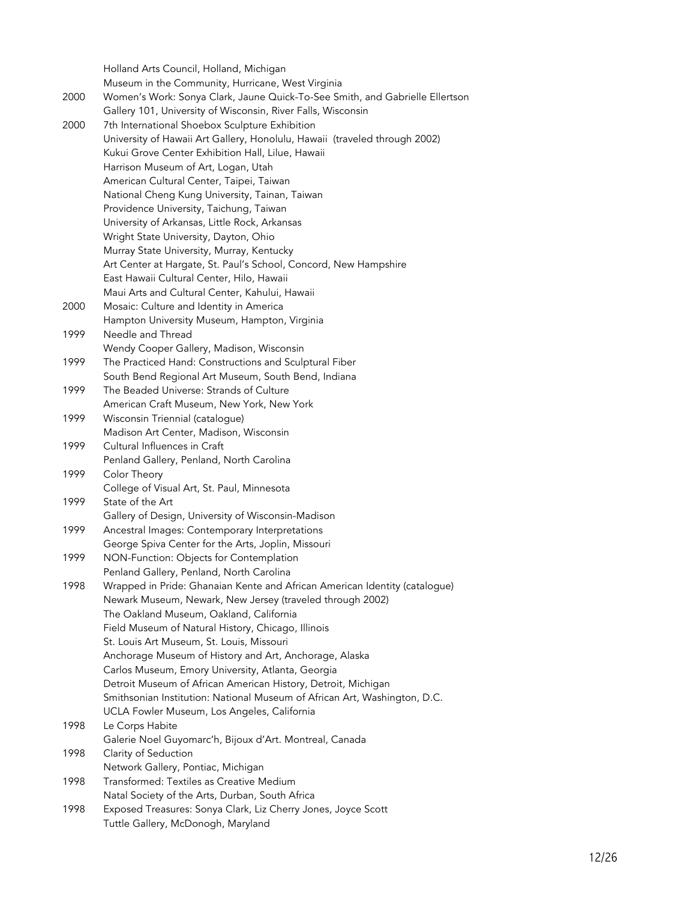Holland Arts Council, Holland, Michigan Museum in the Community, Hurricane, West Virginia 2000 Women's Work: Sonya Clark, Jaune Quick-To-See Smith, and Gabrielle Ellertson Gallery 101, University of Wisconsin, River Falls, Wisconsin 2000 7th International Shoebox Sculpture Exhibition University of Hawaii Art Gallery, Honolulu, Hawaii (traveled through 2002) Kukui Grove Center Exhibition Hall, Lilue, Hawaii Harrison Museum of Art, Logan, Utah American Cultural Center, Taipei, Taiwan National Cheng Kung University, Tainan, Taiwan Providence University, Taichung, Taiwan University of Arkansas, Little Rock, Arkansas Wright State University, Dayton, Ohio Murray State University, Murray, Kentucky Art Center at Hargate, St. Paul's School, Concord, New Hampshire East Hawaii Cultural Center, Hilo, Hawaii Maui Arts and Cultural Center, Kahului, Hawaii 2000 Mosaic: Culture and Identity in America Hampton University Museum, Hampton, Virginia 1999 Needle and Thread Wendy Cooper Gallery, Madison, Wisconsin 1999 The Practiced Hand: Constructions and Sculptural Fiber South Bend Regional Art Museum, South Bend, Indiana 1999 The Beaded Universe: Strands of Culture American Craft Museum, New York, New York 1999 Wisconsin Triennial (catalogue) Madison Art Center, Madison, Wisconsin 1999 Cultural Influences in Craft Penland Gallery, Penland, North Carolina 1999 Color Theory College of Visual Art, St. Paul, Minnesota 1999 State of the Art Gallery of Design, University of Wisconsin-Madison 1999 Ancestral Images: Contemporary Interpretations George Spiva Center for the Arts, Joplin, Missouri 1999 NON-Function: Objects for Contemplation Penland Gallery, Penland, North Carolina 1998 Wrapped in Pride: Ghanaian Kente and African American Identity (catalogue) Newark Museum, Newark, New Jersey (traveled through 2002) The Oakland Museum, Oakland, California Field Museum of Natural History, Chicago, Illinois St. Louis Art Museum, St. Louis, Missouri Anchorage Museum of History and Art, Anchorage, Alaska Carlos Museum, Emory University, Atlanta, Georgia Detroit Museum of African American History, Detroit, Michigan Smithsonian Institution: National Museum of African Art, Washington, D.C. UCLA Fowler Museum, Los Angeles, California 1998 Le Corps Habite Galerie Noel Guyomarc'h, Bijoux d'Art. Montreal, Canada 1998 Clarity of Seduction Network Gallery, Pontiac, Michigan 1998 Transformed: Textiles as Creative Medium Natal Society of the Arts, Durban, South Africa 1998 Exposed Treasures: Sonya Clark, Liz Cherry Jones, Joyce Scott Tuttle Gallery, McDonogh, Maryland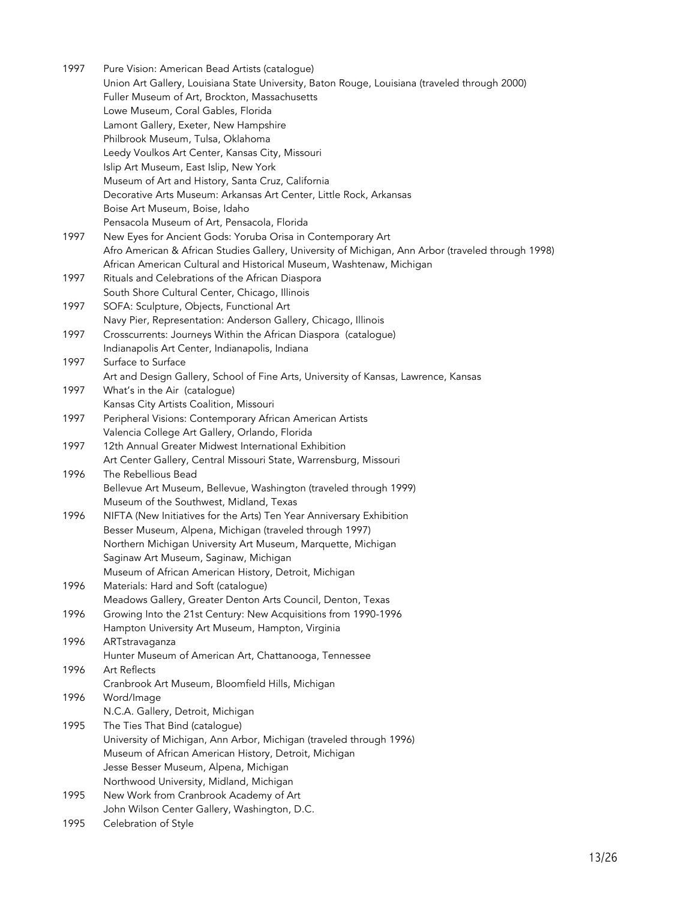1997 Pure Vision: American Bead Artists (catalogue) Union Art Gallery, Louisiana State University, Baton Rouge, Louisiana (traveled through 2000) Fuller Museum of Art, Brockton, Massachusetts Lowe Museum, Coral Gables, Florida Lamont Gallery, Exeter, New Hampshire Philbrook Museum, Tulsa, Oklahoma Leedy Voulkos Art Center, Kansas City, Missouri Islip Art Museum, East Islip, New York Museum of Art and History, Santa Cruz, California Decorative Arts Museum: Arkansas Art Center, Little Rock, Arkansas Boise Art Museum, Boise, Idaho Pensacola Museum of Art, Pensacola, Florida 1997 New Eyes for Ancient Gods: Yoruba Orisa in Contemporary Art Afro American & African Studies Gallery, University of Michigan, Ann Arbor (traveled through 1998) African American Cultural and Historical Museum, Washtenaw, Michigan 1997 Rituals and Celebrations of the African Diaspora South Shore Cultural Center, Chicago, Illinois 1997 SOFA: Sculpture, Objects, Functional Art Navy Pier, Representation: Anderson Gallery, Chicago, Illinois 1997 Crosscurrents: Journeys Within the African Diaspora (catalogue) Indianapolis Art Center, Indianapolis, Indiana 1997 Surface to Surface Art and Design Gallery, School of Fine Arts, University of Kansas, Lawrence, Kansas 1997 What's in the Air (catalogue) Kansas City Artists Coalition, Missouri 1997 Peripheral Visions: Contemporary African American Artists Valencia College Art Gallery, Orlando, Florida 1997 12th Annual Greater Midwest International Exhibition Art Center Gallery, Central Missouri State, Warrensburg, Missouri 1996 The Rebellious Bead Bellevue Art Museum, Bellevue, Washington (traveled through 1999) Museum of the Southwest, Midland, Texas 1996 NIFTA (New Initiatives for the Arts) Ten Year Anniversary Exhibition Besser Museum, Alpena, Michigan (traveled through 1997) Northern Michigan University Art Museum, Marquette, Michigan Saginaw Art Museum, Saginaw, Michigan Museum of African American History, Detroit, Michigan 1996 Materials: Hard and Soft (catalogue) Meadows Gallery, Greater Denton Arts Council, Denton, Texas 1996 Growing Into the 21st Century: New Acquisitions from 1990-1996 Hampton University Art Museum, Hampton, Virginia 1996 ARTstravaganza Hunter Museum of American Art, Chattanooga, Tennessee 1996 Art Reflects Cranbrook Art Museum, Bloomfield Hills, Michigan 1996 Word/Image N.C.A. Gallery, Detroit, Michigan 1995 The Ties That Bind (catalogue) University of Michigan, Ann Arbor, Michigan (traveled through 1996) Museum of African American History, Detroit, Michigan Jesse Besser Museum, Alpena, Michigan Northwood University, Midland, Michigan 1995 New Work from Cranbrook Academy of Art John Wilson Center Gallery, Washington, D.C. 1995 Celebration of Style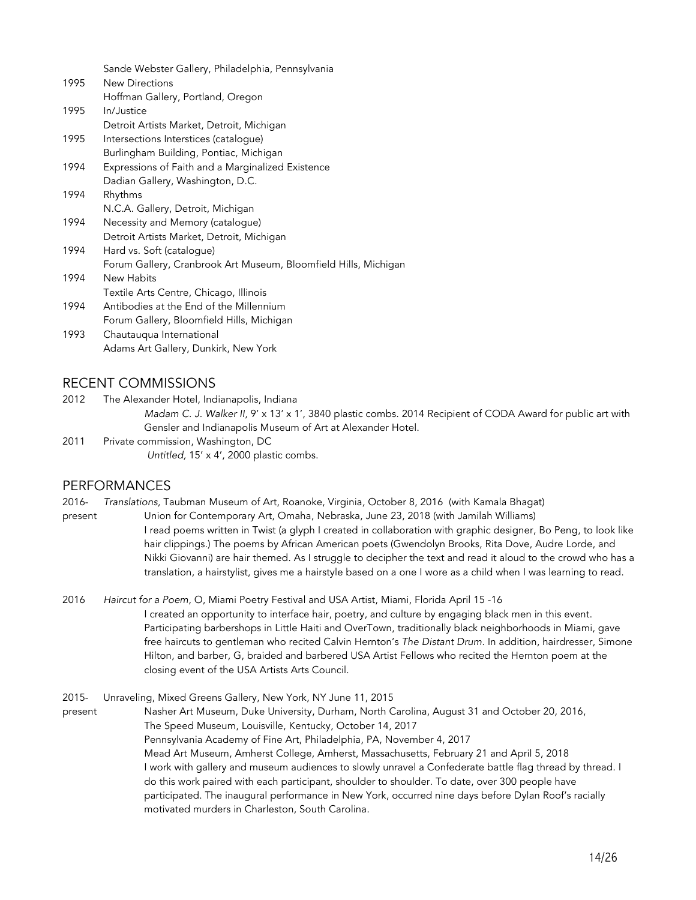|      | Sande Webster Gallery, Philadelphia, Pennsylvania               |
|------|-----------------------------------------------------------------|
| 1995 | <b>New Directions</b>                                           |
|      | Hoffman Gallery, Portland, Oregon                               |
| 1995 | In/Justice                                                      |
|      | Detroit Artists Market, Detroit, Michigan                       |
| 1995 | Intersections Interstices (catalogue)                           |
|      | Burlingham Building, Pontiac, Michigan                          |
| 1994 | Expressions of Faith and a Marginalized Existence               |
|      | Dadian Gallery, Washington, D.C.                                |
| 1994 | Rhythms                                                         |
|      | N.C.A. Gallery, Detroit, Michigan                               |
| 1994 | Necessity and Memory (catalogue)                                |
|      | Detroit Artists Market, Detroit, Michigan                       |
| 1994 | Hard vs. Soft (catalogue)                                       |
|      | Forum Gallery, Cranbrook Art Museum, Bloomfield Hills, Michigan |
| 1994 | New Habits                                                      |
|      | Textile Arts Centre, Chicago, Illinois                          |
| 1994 | Antibodies at the End of the Millennium                         |
|      | Forum Gallery, Bloomfield Hills, Michigan                       |
| 1993 | Chautauqua International                                        |

#### RECENT COMMISSIONS

2012 The Alexander Hotel, Indianapolis, Indiana

Adams Art Gallery, Dunkirk, New York

*Madam C. J. Walker II, 9' x* 13' x 1', 3840 plastic combs. 2014 Recipient of CODA Award for public art with Gensler and Indianapolis Museum of Art at Alexander Hotel.

2011 Private commission, Washington, DC *Untitled,* 15' x 4', 2000 plastic combs.

## PERFORMANCES

2016- *Translations,* Taubman Museum of Art, Roanoke, Virginia*,* October 8, 2016 (with Kamala Bhagat)

- present Union for Contemporary Art, Omaha, Nebraska, June 23, 2018 (with Jamilah Williams) I read poems written in Twist (a glyph I created in collaboration with graphic designer, Bo Peng, to look like hair clippings.) The poems by African American poets (Gwendolyn Brooks, Rita Dove, Audre Lorde, and Nikki Giovanni) are hair themed. As I struggle to decipher the text and read it aloud to the crowd who has a translation, a hairstylist, gives me a hairstyle based on a one I wore as a child when I was learning to read.
- 2016 *Haircut for a Poem*, O, Miami Poetry Festival and USA Artist, Miami, Florida April 15 -16 I created an opportunity to interface hair, poetry, and culture by engaging black men in this event. Participating barbershops in Little Haiti and OverTown, traditionally black neighborhoods in Miami, gave free haircuts to gentleman who recited Calvin Hernton's *The Distant Drum.* In addition, hairdresser, Simone Hilton, and barber, G, braided and barbered USA Artist Fellows who recited the Hernton poem at the closing event of the USA Artists Arts Council.

2015- Unraveling, Mixed Greens Gallery, New York, NY June 11, 2015 present Nasher Art Museum, Duke University, Durham, North Carolina, August 31 and October 20, 2016, The Speed Museum, Louisville, Kentucky, October 14, 2017 Pennsylvania Academy of Fine Art, Philadelphia, PA, November 4, 2017 Mead Art Museum, Amherst College, Amherst, Massachusetts, February 21 and April 5, 2018 I work with gallery and museum audiences to slowly unravel a Confederate battle flag thread by thread. I do this work paired with each participant, shoulder to shoulder. To date, over 300 people have participated. The inaugural performance in New York, occurred nine days before Dylan Roof's racially motivated murders in Charleston, South Carolina.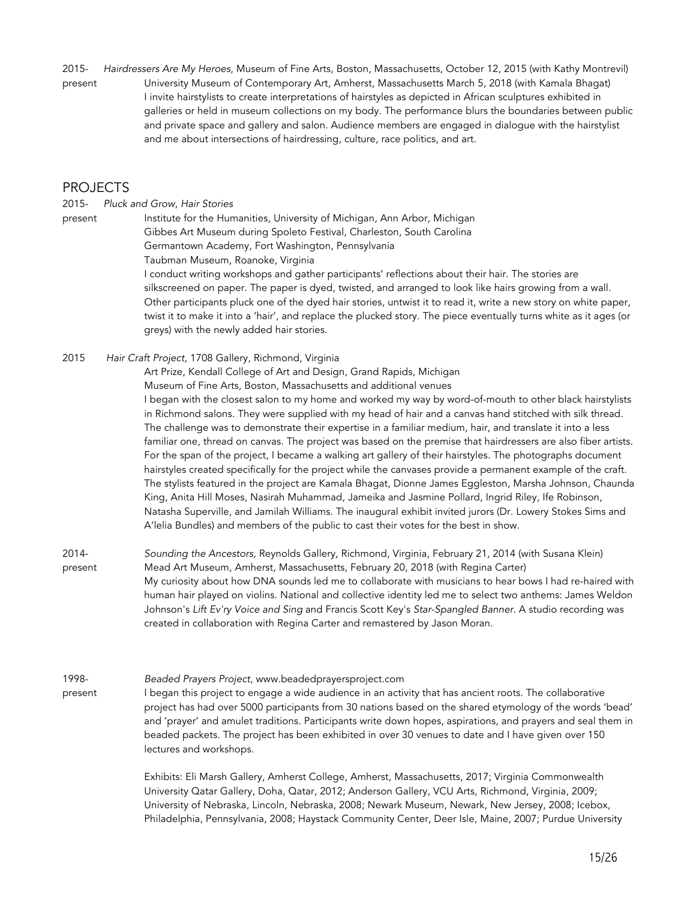2015- *Hairdressers Are My Heroes*, Museum of Fine Arts, Boston, Massachusetts, October 12, 2015 (with Kathy Montrevil) present University Museum of Contemporary Art, Amherst, Massachusetts March 5, 2018 (with Kamala Bhagat) I invite hairstylists to create interpretations of hairstyles as depicted in African sculptures exhibited in galleries or held in museum collections on my body. The performance blurs the boundaries between public and private space and gallery and salon. Audience members are engaged in dialogue with the hairstylist and me about intersections of hairdressing, culture, race politics, and art.

### PROJECTS

2015- *Pluck and Grow*, *Hair Stories*

present Institute for the Humanities, University of Michigan, Ann Arbor, Michigan Gibbes Art Museum during Spoleto Festival, Charleston, South Carolina Germantown Academy, Fort Washington, Pennsylvania

Taubman Museum, Roanoke, Virginia

I conduct writing workshops and gather participants' reflections about their hair. The stories are silkscreened on paper. The paper is dyed, twisted, and arranged to look like hairs growing from a wall. Other participants pluck one of the dyed hair stories, untwist it to read it, write a new story on white paper, twist it to make it into a 'hair', and replace the plucked story. The piece eventually turns white as it ages (or greys) with the newly added hair stories.

2015 *Hair Craft Project,* 1708 Gallery, Richmond, Virginia

Art Prize, Kendall College of Art and Design, Grand Rapids, Michigan

Museum of Fine Arts, Boston, Massachusetts and additional venues

I began with the closest salon to my home and worked my way by word-of-mouth to other black hairstylists in Richmond salons. They were supplied with my head of hair and a canvas hand stitched with silk thread. The challenge was to demonstrate their expertise in a familiar medium, hair, and translate it into a less familiar one, thread on canvas. The project was based on the premise that hairdressers are also fiber artists. For the span of the project, I became a walking art gallery of their hairstyles. The photographs document hairstyles created specifically for the project while the canvases provide a permanent example of the craft. The stylists featured in the project are Kamala Bhagat, Dionne James Eggleston, Marsha Johnson, Chaunda King, Anita Hill Moses, Nasirah Muhammad, Jameika and Jasmine Pollard, Ingrid Riley, Ife Robinson, Natasha Superville, and Jamilah Williams. The inaugural exhibit invited jurors (Dr. Lowery Stokes Sims and A'lelia Bundles) and members of the public to cast their votes for the best in show.

2014- *Sounding the Ancestors,* Reynolds Gallery, Richmond, Virginia, February 21, 2014 (with Susana Klein) present Mead Art Museum, Amherst, Massachusetts, February 20, 2018 (with Regina Carter) My curiosity about how DNA sounds led me to collaborate with musicians to hear bows I had re-haired with human hair played on violins. National and collective identity led me to select two anthems: James Weldon Johnson's *Lift Ev'ry Voice and Sing* and Francis Scott Key's *Star-Spangled Banner*. A studio recording was created in collaboration with Regina Carter and remastered by Jason Moran.

#### 1998- *Beaded Prayers Project*, www.beadedprayersproject.com

present I began this project to engage a wide audience in an activity that has ancient roots. The collaborative project has had over 5000 participants from 30 nations based on the shared etymology of the words 'bead' and 'prayer' and amulet traditions. Participants write down hopes, aspirations, and prayers and seal them in beaded packets. The project has been exhibited in over 30 venues to date and I have given over 150 lectures and workshops.

> Exhibits: Eli Marsh Gallery, Amherst College, Amherst, Massachusetts, 2017; Virginia Commonwealth University Qatar Gallery, Doha, Qatar, 2012; Anderson Gallery, VCU Arts, Richmond, Virginia, 2009; University of Nebraska, Lincoln, Nebraska, 2008; Newark Museum, Newark, New Jersey, 2008; Icebox, Philadelphia, Pennsylvania, 2008; Haystack Community Center, Deer Isle, Maine, 2007; Purdue University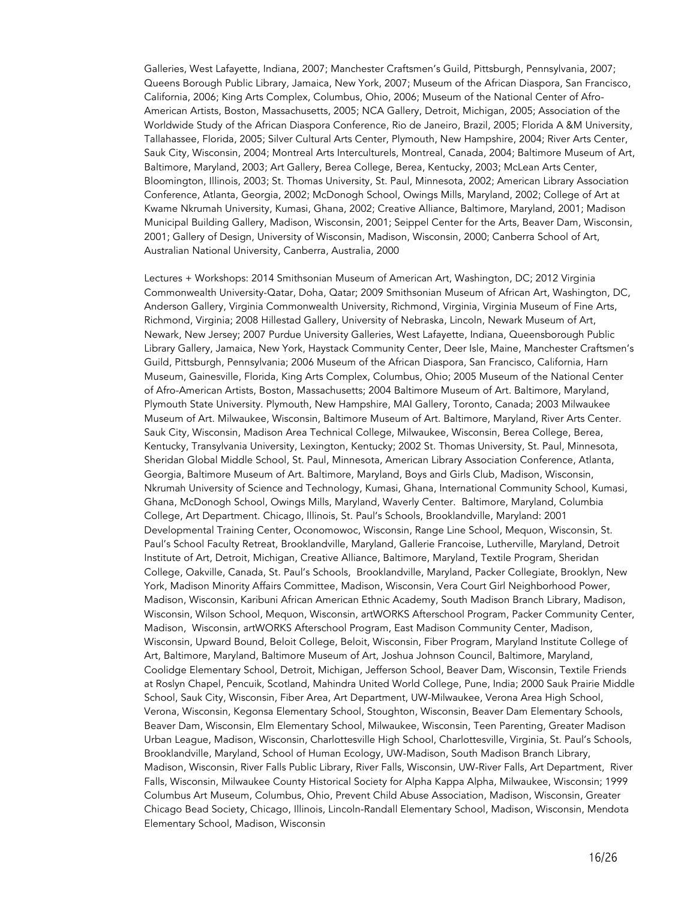Galleries, West Lafayette, Indiana, 2007; Manchester Craftsmen's Guild, Pittsburgh, Pennsylvania, 2007; Queens Borough Public Library, Jamaica, New York, 2007; Museum of the African Diaspora, San Francisco, California, 2006; King Arts Complex, Columbus, Ohio, 2006; Museum of the National Center of Afro-American Artists, Boston, Massachusetts, 2005; NCA Gallery, Detroit, Michigan, 2005; Association of the Worldwide Study of the African Diaspora Conference, Rio de Janeiro, Brazil, 2005; Florida A &M University, Tallahassee, Florida, 2005; Silver Cultural Arts Center, Plymouth, New Hampshire, 2004; River Arts Center, Sauk City, Wisconsin, 2004; Montreal Arts Interculturels, Montreal, Canada, 2004; Baltimore Museum of Art, Baltimore, Maryland, 2003; Art Gallery, Berea College, Berea, Kentucky, 2003; McLean Arts Center, Bloomington, Illinois, 2003; St. Thomas University, St. Paul, Minnesota, 2002; American Library Association Conference, Atlanta, Georgia, 2002; McDonogh School, Owings Mills, Maryland, 2002; College of Art at Kwame Nkrumah University, Kumasi, Ghana, 2002; Creative Alliance, Baltimore, Maryland, 2001; Madison Municipal Building Gallery, Madison, Wisconsin, 2001; Seippel Center for the Arts, Beaver Dam, Wisconsin, 2001; Gallery of Design, University of Wisconsin, Madison, Wisconsin, 2000; Canberra School of Art, Australian National University, Canberra, Australia, 2000

Lectures + Workshops: 2014 Smithsonian Museum of American Art, Washington, DC; 2012 Virginia Commonwealth University-Qatar, Doha, Qatar; 2009 Smithsonian Museum of African Art, Washington, DC, Anderson Gallery, Virginia Commonwealth University, Richmond, Virginia, Virginia Museum of Fine Arts, Richmond, Virginia; 2008 Hillestad Gallery, University of Nebraska, Lincoln, Newark Museum of Art, Newark, New Jersey; 2007 Purdue University Galleries, West Lafayette, Indiana, Queensborough Public Library Gallery, Jamaica, New York, Haystack Community Center, Deer Isle, Maine, Manchester Craftsmen's Guild, Pittsburgh, Pennsylvania; 2006 Museum of the African Diaspora, San Francisco, California, Harn Museum, Gainesville, Florida, King Arts Complex, Columbus, Ohio; 2005 Museum of the National Center of Afro-American Artists, Boston, Massachusetts; 2004 Baltimore Museum of Art. Baltimore, Maryland, Plymouth State University. Plymouth, New Hampshire, MAI Gallery, Toronto, Canada; 2003 Milwaukee Museum of Art. Milwaukee, Wisconsin, Baltimore Museum of Art. Baltimore, Maryland, River Arts Center. Sauk City, Wisconsin, Madison Area Technical College, Milwaukee, Wisconsin, Berea College, Berea, Kentucky, Transylvania University, Lexington, Kentucky; 2002 St. Thomas University, St. Paul, Minnesota, Sheridan Global Middle School, St. Paul, Minnesota, American Library Association Conference, Atlanta, Georgia, Baltimore Museum of Art. Baltimore, Maryland, Boys and Girls Club, Madison, Wisconsin, Nkrumah University of Science and Technology, Kumasi, Ghana, International Community School, Kumasi, Ghana, McDonogh School, Owings Mills, Maryland, Waverly Center. Baltimore, Maryland, Columbia College, Art Department. Chicago, Illinois, St. Paul's Schools, Brooklandville, Maryland: 2001 Developmental Training Center, Oconomowoc, Wisconsin, Range Line School, Mequon, Wisconsin, St. Paul's School Faculty Retreat, Brooklandville, Maryland, Gallerie Francoise, Lutherville, Maryland, Detroit Institute of Art, Detroit, Michigan, Creative Alliance, Baltimore, Maryland, Textile Program, Sheridan College, Oakville, Canada, St. Paul's Schools, Brooklandville, Maryland, Packer Collegiate, Brooklyn, New York, Madison Minority Affairs Committee, Madison, Wisconsin, Vera Court Girl Neighborhood Power, Madison, Wisconsin, Karibuni African American Ethnic Academy, South Madison Branch Library, Madison, Wisconsin, Wilson School, Mequon, Wisconsin, artWORKS Afterschool Program, Packer Community Center, Madison, Wisconsin, artWORKS Afterschool Program, East Madison Community Center, Madison, Wisconsin, Upward Bound, Beloit College, Beloit, Wisconsin, Fiber Program, Maryland Institute College of Art, Baltimore, Maryland, Baltimore Museum of Art, Joshua Johnson Council, Baltimore, Maryland, Coolidge Elementary School, Detroit, Michigan, Jefferson School, Beaver Dam, Wisconsin, Textile Friends at Roslyn Chapel, Pencuik, Scotland, Mahindra United World College, Pune, India; 2000 Sauk Prairie Middle School, Sauk City, Wisconsin, Fiber Area, Art Department, UW-Milwaukee, Verona Area High School, Verona, Wisconsin, Kegonsa Elementary School, Stoughton, Wisconsin, Beaver Dam Elementary Schools, Beaver Dam, Wisconsin, Elm Elementary School, Milwaukee, Wisconsin, Teen Parenting, Greater Madison Urban League, Madison, Wisconsin, Charlottesville High School, Charlottesville, Virginia, St. Paul's Schools, Brooklandville, Maryland, School of Human Ecology, UW-Madison, South Madison Branch Library, Madison, Wisconsin, River Falls Public Library, River Falls, Wisconsin, UW-River Falls, Art Department, River Falls, Wisconsin, Milwaukee County Historical Society for Alpha Kappa Alpha, Milwaukee, Wisconsin; 1999 Columbus Art Museum, Columbus, Ohio, Prevent Child Abuse Association, Madison, Wisconsin, Greater Chicago Bead Society, Chicago, Illinois, Lincoln-Randall Elementary School, Madison, Wisconsin, Mendota Elementary School, Madison, Wisconsin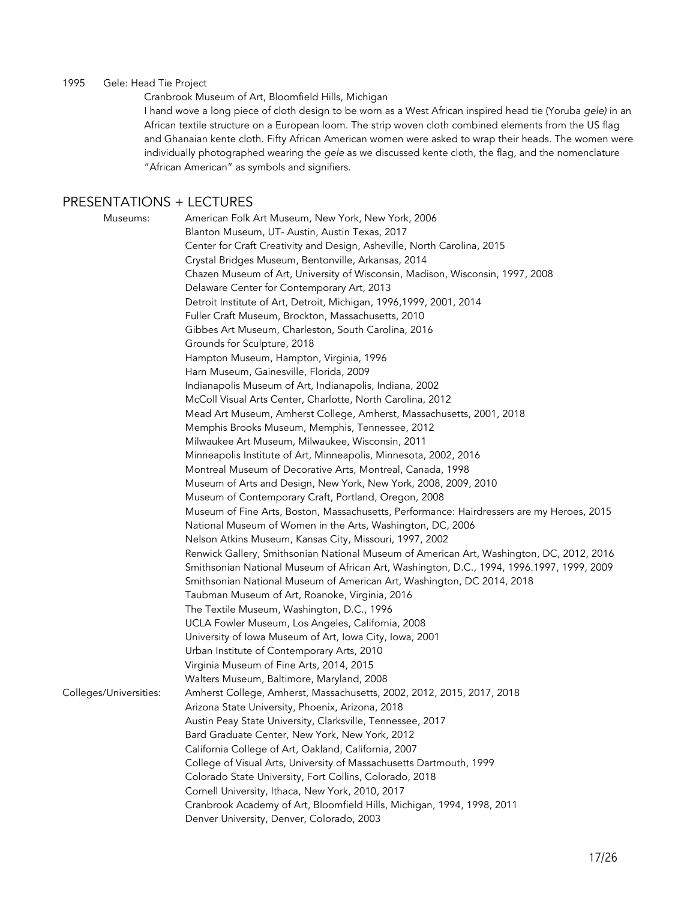#### 1995 Gele: Head Tie Project

Cranbrook Museum of Art, Bloomfield Hills, Michigan

I hand wove a long piece of cloth design to be worn as a West African inspired head tie (Yoruba *gele)* in an African textile structure on a European loom. The strip woven cloth combined elements from the US flag and Ghanaian kente cloth. Fifty African American women were asked to wrap their heads. The women were individually photographed wearing the *gele* as we discussed kente cloth, the flag, and the nomenclature "African American" as symbols and signifiers.

# PRESENTATIONS + LECTURES

| Museums:               | American Folk Art Museum, New York, New York, 2006                                        |
|------------------------|-------------------------------------------------------------------------------------------|
|                        | Blanton Museum, UT- Austin, Austin Texas, 2017                                            |
|                        | Center for Craft Creativity and Design, Asheville, North Carolina, 2015                   |
|                        | Crystal Bridges Museum, Bentonville, Arkansas, 2014                                       |
|                        | Chazen Museum of Art, University of Wisconsin, Madison, Wisconsin, 1997, 2008             |
|                        | Delaware Center for Contemporary Art, 2013                                                |
|                        | Detroit Institute of Art, Detroit, Michigan, 1996,1999, 2001, 2014                        |
|                        | Fuller Craft Museum, Brockton, Massachusetts, 2010                                        |
|                        | Gibbes Art Museum, Charleston, South Carolina, 2016                                       |
|                        | Grounds for Sculpture, 2018                                                               |
|                        | Hampton Museum, Hampton, Virginia, 1996                                                   |
|                        | Harn Museum, Gainesville, Florida, 2009                                                   |
|                        | Indianapolis Museum of Art, Indianapolis, Indiana, 2002                                   |
|                        | McColl Visual Arts Center, Charlotte, North Carolina, 2012                                |
|                        | Mead Art Museum, Amherst College, Amherst, Massachusetts, 2001, 2018                      |
|                        | Memphis Brooks Museum, Memphis, Tennessee, 2012                                           |
|                        | Milwaukee Art Museum, Milwaukee, Wisconsin, 2011                                          |
|                        | Minneapolis Institute of Art, Minneapolis, Minnesota, 2002, 2016                          |
|                        | Montreal Museum of Decorative Arts, Montreal, Canada, 1998                                |
|                        | Museum of Arts and Design, New York, New York, 2008, 2009, 2010                           |
|                        | Museum of Contemporary Craft, Portland, Oregon, 2008                                      |
|                        | Museum of Fine Arts, Boston, Massachusetts, Performance: Hairdressers are my Heroes, 2015 |
|                        | National Museum of Women in the Arts, Washington, DC, 2006                                |
|                        | Nelson Atkins Museum, Kansas City, Missouri, 1997, 2002                                   |
|                        | Renwick Gallery, Smithsonian National Museum of American Art, Washington, DC, 2012, 2016  |
|                        | Smithsonian National Museum of African Art, Washington, D.C., 1994, 1996.1997, 1999, 2009 |
|                        | Smithsonian National Museum of American Art, Washington, DC 2014, 2018                    |
|                        | Taubman Museum of Art, Roanoke, Virginia, 2016                                            |
|                        | The Textile Museum, Washington, D.C., 1996                                                |
|                        | UCLA Fowler Museum, Los Angeles, California, 2008                                         |
|                        | University of Iowa Museum of Art, Iowa City, Iowa, 2001                                   |
|                        | Urban Institute of Contemporary Arts, 2010                                                |
|                        | Virginia Museum of Fine Arts, 2014, 2015                                                  |
|                        | Walters Museum, Baltimore, Maryland, 2008                                                 |
| Colleges/Universities: | Amherst College, Amherst, Massachusetts, 2002, 2012, 2015, 2017, 2018                     |
|                        | Arizona State University, Phoenix, Arizona, 2018                                          |
|                        | Austin Peay State University, Clarksville, Tennessee, 2017                                |
|                        | Bard Graduate Center, New York, New York, 2012                                            |
|                        | California College of Art, Oakland, California, 2007                                      |
|                        | College of Visual Arts, University of Massachusetts Dartmouth, 1999                       |
|                        | Colorado State University, Fort Collins, Colorado, 2018                                   |
|                        | Cornell University, Ithaca, New York, 2010, 2017                                          |
|                        | Cranbrook Academy of Art, Bloomfield Hills, Michigan, 1994, 1998, 2011                    |
|                        | Denver University, Denver, Colorado, 2003                                                 |
|                        |                                                                                           |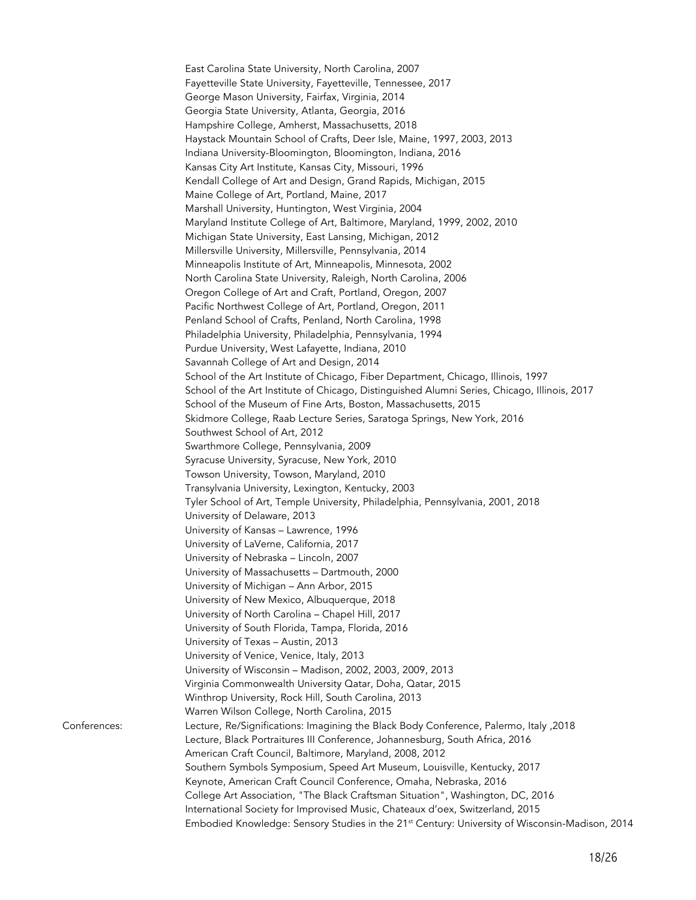East Carolina State University, North Carolina, 2007 Fayetteville State University, Fayetteville, Tennessee, 2017 George Mason University, Fairfax, Virginia, 2014 Georgia State University, Atlanta, Georgia, 2016 Hampshire College, Amherst, Massachusetts, 2018 Haystack Mountain School of Crafts, Deer Isle, Maine, 1997, 2003, 2013 Indiana University-Bloomington, Bloomington, Indiana, 2016 Kansas City Art Institute, Kansas City, Missouri, 1996 Kendall College of Art and Design, Grand Rapids, Michigan, 2015 Maine College of Art, Portland, Maine, 2017 Marshall University, Huntington, West Virginia, 2004 Maryland Institute College of Art, Baltimore, Maryland, 1999, 2002, 2010 Michigan State University, East Lansing, Michigan, 2012 Millersville University, Millersville, Pennsylvania, 2014 Minneapolis Institute of Art, Minneapolis, Minnesota, 2002 North Carolina State University, Raleigh, North Carolina, 2006 Oregon College of Art and Craft, Portland, Oregon, 2007 Pacific Northwest College of Art, Portland, Oregon, 2011 Penland School of Crafts, Penland, North Carolina, 1998 Philadelphia University, Philadelphia, Pennsylvania, 1994 Purdue University, West Lafayette, Indiana, 2010 Savannah College of Art and Design, 2014 School of the Art Institute of Chicago, Fiber Department, Chicago, Illinois, 1997 School of the Art Institute of Chicago, Distinguished Alumni Series, Chicago, Illinois, 2017 School of the Museum of Fine Arts, Boston, Massachusetts, 2015 Skidmore College, Raab Lecture Series, Saratoga Springs, New York, 2016 Southwest School of Art, 2012 Swarthmore College, Pennsylvania, 2009 Syracuse University, Syracuse, New York, 2010 Towson University, Towson, Maryland, 2010 Transylvania University, Lexington, Kentucky, 2003 Tyler School of Art, Temple University, Philadelphia, Pennsylvania, 2001, 2018 University of Delaware, 2013 University of Kansas – Lawrence, 1996 University of LaVerne, California, 2017 University of Nebraska – Lincoln, 2007 University of Massachusetts – Dartmouth, 2000 University of Michigan – Ann Arbor, 2015 University of New Mexico, Albuquerque, 2018 University of North Carolina – Chapel Hill, 2017 University of South Florida, Tampa, Florida, 2016 University of Texas – Austin, 2013 University of Venice, Venice, Italy, 2013 University of Wisconsin – Madison, 2002, 2003, 2009, 2013 Virginia Commonwealth University Qatar, Doha, Qatar, 2015 Winthrop University, Rock Hill, South Carolina, 2013 Warren Wilson College, North Carolina, 2015 Conferences: Lecture, Re/Significations: Imagining the Black Body Conference, Palermo, Italy ,2018 Lecture, Black Portraitures III Conference, Johannesburg, South Africa, 2016 American Craft Council, Baltimore, Maryland, 2008, 2012 Southern Symbols Symposium, Speed Art Museum, Louisville, Kentucky, 2017 Keynote, American Craft Council Conference, Omaha, Nebraska, 2016 College Art Association, "The Black Craftsman Situation", Washington, DC, 2016 International Society for Improvised Music, Chateaux d'oex, Switzerland, 2015 Embodied Knowledge: Sensory Studies in the 21<sup>st</sup> Century: University of Wisconsin-Madison, 2014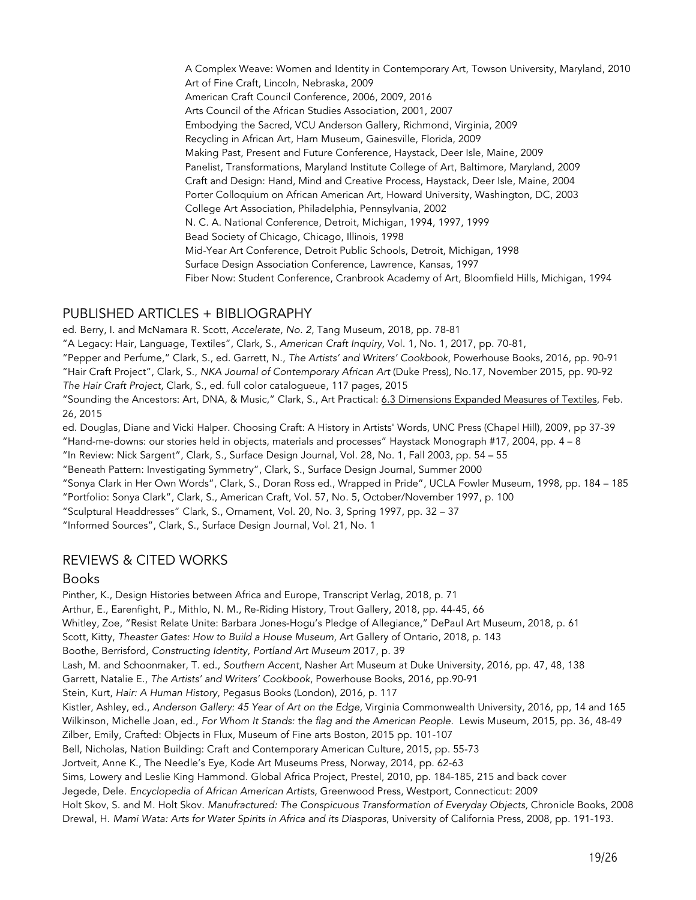A Complex Weave: Women and Identity in Contemporary Art, Towson University, Maryland, 2010 Art of Fine Craft, Lincoln, Nebraska, 2009 American Craft Council Conference, 2006, 2009, 2016 Arts Council of the African Studies Association, 2001, 2007 Embodying the Sacred, VCU Anderson Gallery, Richmond, Virginia, 2009 Recycling in African Art, Harn Museum, Gainesville, Florida, 2009 Making Past, Present and Future Conference, Haystack, Deer Isle, Maine, 2009 Panelist, Transformations, Maryland Institute College of Art, Baltimore, Maryland, 2009 Craft and Design: Hand, Mind and Creative Process, Haystack, Deer Isle, Maine, 2004 Porter Colloquium on African American Art, Howard University, Washington, DC, 2003 College Art Association, Philadelphia, Pennsylvania, 2002 N. C. A. National Conference, Detroit, Michigan, 1994, 1997, 1999 Bead Society of Chicago, Chicago, Illinois, 1998 Mid-Year Art Conference, Detroit Public Schools, Detroit, Michigan, 1998 Surface Design Association Conference, Lawrence, Kansas, 1997 Fiber Now: Student Conference, Cranbrook Academy of Art, Bloomfield Hills, Michigan, 1994

# PUBLISHED ARTICLES + BIBLIOGRAPHY

ed. Berry, I. and McNamara R. Scott, *Accelerate, No. 2*, Tang Museum, 2018, pp. 78-81

"A Legacy: Hair, Language, Textiles", Clark, S., *American Craft Inquiry,* Vol. 1, No. 1, 2017, pp. 70-81,

"Pepper and Perfume," Clark, S., ed. Garrett, N., *The Artists' and Writers' Cookbook*, Powerhouse Books, 2016, pp. 90-91

"Hair Craft Project", Clark, S., *NKA Journal of Contemporary African Art* (Duke Press)*,* No.17, November 2015, pp. 90-92

*The Hair Craft Project*, Clark, S., ed. full color catalogueue, 117 pages, 2015

"Sounding the Ancestors: Art, DNA, & Music," Clark, S., Art Practical: 6.3 Dimensions Expanded Measures of Textiles, Feb. 26, 2015

ed. Douglas, Diane and Vicki Halper. Choosing Craft: A History in Artists' Words, UNC Press (Chapel Hill), 2009, pp 37-39 "Hand-me-downs: our stories held in objects, materials and processes" Haystack Monograph #17, 2004, pp. 4 – 8

"In Review: Nick Sargent", Clark, S., Surface Design Journal, Vol. 28, No. 1, Fall 2003, pp. 54 – 55

"Beneath Pattern: Investigating Symmetry", Clark, S., Surface Design Journal, Summer 2000

"Sonya Clark in Her Own Words", Clark, S., Doran Ross ed., Wrapped in Pride", UCLA Fowler Museum, 1998, pp. 184 – 185

"Portfolio: Sonya Clark", Clark, S., American Craft, Vol. 57, No. 5, October/November 1997, p. 100

"Sculptural Headdresses" Clark, S., Ornament, Vol. 20, No. 3, Spring 1997, pp. 32 – 37

"Informed Sources", Clark, S., Surface Design Journal, Vol. 21, No. 1

# REVIEWS & CITED WORKS

## Books

Pinther, K., Design Histories between Africa and Europe, Transcript Verlag, 2018, p. 71 Arthur, E., Earenfight, P., Mithlo, N. M., Re-Riding History, Trout Gallery, 2018, pp. 44-45, 66 Whitley, Zoe, "Resist Relate Unite: Barbara Jones-Hogu's Pledge of Allegiance," DePaul Art Museum, 2018, p. 61 Scott, Kitty, *Theaster Gates: How to Build a House Museum,* Art Gallery of Ontario, 2018, p. 143 Boothe, Berrisford, *Constructing Identity, Portland Art Museum* 2017, p. 39 Lash, M. and Schoonmaker, T. ed., *Southern Accent,* Nasher Art Museum at Duke University, 2016, pp. 47, 48, 138 Garrett, Natalie E., *The Artists' and Writers' Cookbook*, Powerhouse Books, 2016, pp.90-91 Stein, Kurt, *Hair: A Human History,* Pegasus Books (London), 2016, p. 117 Kistler, Ashley, ed., *Anderson Gallery: 45 Year of Art on the Edge,* Virginia Commonwealth University, 2016, pp, 14 and 165 Wilkinson, Michelle Joan, ed., *For Whom It Stands: the flag and the American People.* Lewis Museum, 2015, pp. 36, 48-49 Zilber, Emily, Crafted: Objects in Flux, Museum of Fine arts Boston, 2015 pp. 101-107 Bell, Nicholas, Nation Building: Craft and Contemporary American Culture, 2015, pp. 55-73 Jortveit, Anne K., The Needle's Eye, Kode Art Museums Press, Norway, 2014, pp. 62-63 Sims, Lowery and Leslie King Hammond. Global Africa Project, Prestel, 2010, pp. 184-185, 215 and back cover Jegede, Dele. *Encyclopedia of African American Artists,* Greenwood Press, Westport, Connecticut: 2009 Holt Skov, S. and M. Holt Skov. *Manufractured: The Conspicuous Transformation of Everyday Objects,* Chronicle Books, 2008 Drewal, H. *Mami Wata: Arts for Water Spirits in Africa and its Diasporas*, University of California Press, 2008, pp. 191-193.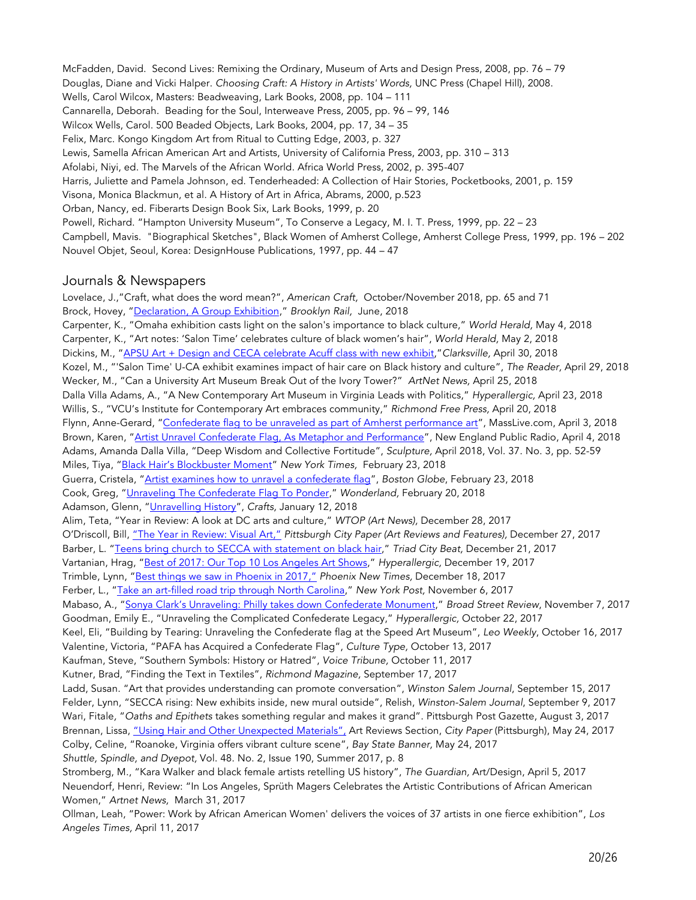McFadden, David. Second Lives: Remixing the Ordinary, Museum of Arts and Design Press, 2008, pp. 76 – 79 Douglas, Diane and Vicki Halper. *Choosing Craft: A History in Artists' Words,* UNC Press (Chapel Hill), 2008. Wells, Carol Wilcox, Masters: Beadweaving, Lark Books, 2008, pp. 104 – 111 Cannarella, Deborah. Beading for the Soul, Interweave Press, 2005, pp. 96 – 99, 146 Wilcox Wells, Carol. 500 Beaded Objects, Lark Books, 2004, pp. 17, 34 – 35 Felix, Marc. Kongo Kingdom Art from Ritual to Cutting Edge, 2003, p. 327 Lewis, Samella African American Art and Artists, University of California Press, 2003, pp. 310 – 313 Afolabi, Niyi, ed. The Marvels of the African World. Africa World Press, 2002, p. 395-407 Harris, Juliette and Pamela Johnson, ed. Tenderheaded: A Collection of Hair Stories, Pocketbooks, 2001, p. 159 Visona, Monica Blackmun, et al. A History of Art in Africa, Abrams, 2000, p.523 Orban, Nancy, ed. Fiberarts Design Book Six, Lark Books, 1999, p. 20 Powell, Richard. "Hampton University Museum", To Conserve a Legacy, M. I. T. Press, 1999, pp. 22 – 23 Campbell, Mavis. "Biographical Sketches", Black Women of Amherst College, Amherst College Press, 1999, pp. 196 – 202 Nouvel Objet, Seoul, Korea: DesignHouse Publications, 1997, pp. 44 – 47

#### Journals & Newspapers

*Angeles Times,* April 11, 2017

Lovelace, J.,"Craft, what does the word mean?", *American Craft,* October/November 2018, pp. 65 and 71 Brock, Hovey, "Declaration, A Group Exhibition," *Brooklyn Rail,* June, 2018 Carpenter, K., "Omaha exhibition casts light on the salon's importance to black culture," *World Herald,* May 4, 2018 Carpenter, K., "Art notes: 'Salon Time' celebrates culture of black women's hair", *World Herald,* May 2, 2018 Dickins, M., "APSU Art + Design and CECA celebrate Acuff class with new exhibit,"*Clarksville,* April 30, 2018 Kozel, M., "'Salon Time' U-CA exhibit examines impact of hair care on Black history and culture", *The Reader,* April 29, 2018 Wecker, M., "Can a University Art Museum Break Out of the Ivory Tower?" *ArtNet News,* April 25, 2018 Dalla Villa Adams, A., "A New Contemporary Art Museum in Virginia Leads with Politics," *Hyperallergic,* April 23, 2018 Willis, S., "VCU's Institute for Contemporary Art embraces community," *Richmond Free Press,* April 20, 2018 Flynn, Anne-Gerard, "Confederate flag to be unraveled as part of Amherst performance art", MassLive.com, April 3, 2018 Brown, Karen, "Artist Unravel Confederate Flag, As Metaphor and Performance", New England Public Radio, April 4, 2018 Adams, Amanda Dalla Villa, "Deep Wisdom and Collective Fortitude", *Sculpture,* April 2018, Vol. 37. No. 3, pp. 52-59 Miles, Tiya, "Black Hair's Blockbuster Moment" *New York Times,* February 23, 2018 Guerra, Cristela, "Artist examines how to unravel a confederate flag", *Boston Globe*, February 23, 2018 Cook, Greg, "Unraveling The Confederate Flag To Ponder," *Wonderland,* February 20, 2018 Adamson, Glenn, "Unravelling History", *Crafts,* January 12, 2018 Alim, Teta, "Year in Review: A look at DC arts and culture," *WTOP (Art News),* December 28, 2017 O'Driscoll, Bill, "The Year in Review: Visual Art," *Pittsburgh City Paper (Art Reviews and Features),* December 27, 2017 Barber, L. "Teens bring church to SECCA with statement on black hair," *Triad City Beat,* December 21, 2017 Vartanian, Hrag, "Best of 2017: Our Top 10 Los Angeles Art Shows," *Hyperallergic,* December 19, 2017 Trimble, Lynn, "Best things we saw in Phoenix in 2017," *Phoenix New Times,* December 18, 2017 Ferber, L., "Take an art-filled road trip through North Carolina," *New York Post,* November 6, 2017 Mabaso, A., "Sonya Clark's Unraveling: Philly takes down Confederate Monument," *Broad Street Review*, November 7, 2017 Goodman, Emily E., "Unraveling the Complicated Confederate Legacy," *Hyperallergic,* October 22, 2017 Keel, Eli, "Building by Tearing: Unraveling the Confederate flag at the Speed Art Museum", *Leo Weekly*, October 16, 2017 Valentine, Victoria, "PAFA has Acquired a Confederate Flag", *Culture Type,* October 13, 2017 Kaufman, Steve, "Southern Symbols: History or Hatred", *Voice Tribune,* October 11, 2017 Kutner, Brad, "Finding the Text in Textiles", *Richmond Magazine,* September 17, 2017 Ladd, Susan. "Art that provides understanding can promote conversation", *Winston Salem Journal*, September 15, 2017 Felder, Lynn, "SECCA rising: New exhibits inside, new mural outside", Relish, *Winston-Salem Journal*, September 9, 2017 Wari, Fitale*,* "*Oaths and Epithets* takes something regular and makes it grand". Pittsburgh Post Gazette, August 3, 2017 Brennan, Lissa, "Using Hair and Other Unexpected Materials", Art Reviews Section, *City Paper* (Pittsburgh), May 24, 2017 Colby, Celine, "Roanoke, Virginia offers vibrant culture scene", *Bay State Banner,* May 24, 2017 *Shuttle, Spindle, and Dyepot,* Vol. 48. No. 2, Issue 190, Summer 2017, p. 8 Stromberg, M., "Kara Walker and black female artists retelling US history", *The Guardian,* Art/Design, April 5, 2017 Neuendorf, Henri, Review: "In Los Angeles, Sprüth Magers Celebrates the Artistic Contributions of African American Women," *Artnet News,* March 31, 2017 Ollman, Leah, "Power: Work by African American Women' delivers the voices of 37 artists in one fierce exhibition", *Los*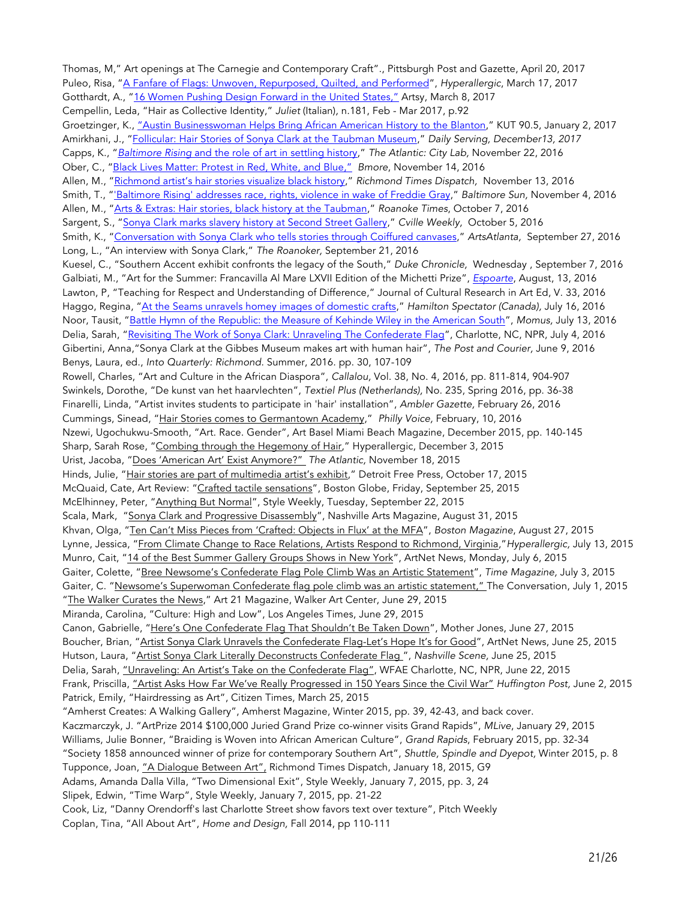Thomas, M," Art openings at The Carnegie and Contemporary Craft"., Pittsburgh Post and Gazette, April 20, 2017 Puleo, Risa, "A Fanfare of Flags: Unwoven, Repurposed, Quilted, and Performed", *Hyperallergic*, March 17, 2017 Gotthardt, A., "16 Women Pushing Design Forward in the United States," Artsy, March 8, 2017 Cempellin, Leda, "Hair as Collective Identity," *Juliet* (Italian)*,* n.181, Feb - Mar 2017, p.92 Groetzinger, K., "Austin Businesswoman Helps Bring African American History to the Blanton," KUT 90.5, January 2, 2017 Amirkhani, J., "Follicular: Hair Stories of Sonya Clark at the Taubman Museum," *Daily Serving, December13, 2017* Capps, K., "*Baltimore Rising* and the role of art in settling history," *The Atlantic: City Lab,* November 22, 2016 Ober, C., "Black Lives Matter: Protest in Red, White, and Blue," *Bmore*, November 14, 2016 Allen, M., "Richmond artist's hair stories visualize black history," *Richmond Times Dispatch,* November 13, 2016 Smith, T., "'Baltimore Rising' addresses race, rights, violence in wake of Freddie Gray," *Baltimore Sun,* November 4, 2016 Allen, M., "Arts & Extras: Hair stories, black history at the Taubman," *Roanoke Times*, October 7, 2016 Sargent, S., "Sonya Clark marks slavery history at Second Street Gallery," *Cville Weekly,* October 5, 2016 Smith, K., "Conversation with Sonya Clark who tells stories through Coiffured canvases," *ArtsAtlanta,* September 27, 2016 Long, L., "An interview with Sonya Clark," *The Roanoker,* September 21, 2016 Kuesel, C., "Southern Accent exhibit confronts the legacy of the South," *Duke Chronicle,* Wednesday , September 7, 2016 Galbiati, M., "Art for the Summer: Francavilla Al Mare LXVII Edition of the Michetti Prize", *Espoarte*, August, 13, 2016 Lawton, P, "Teaching for Respect and Understanding of Difference," Journal of Cultural Research in Art Ed, V. 33, 2016 Haggo, Regina, "At the Seams unravels homey images of domestic crafts," *Hamilton Spectator (Canada),* July 16, 2016 Noor, Tausit, "Battle Hymn of the Republic: the Measure of Kehinde Wiley in the American South", *Momus,* July 13, 2016 Delia, Sarah, "Revisiting The Work of Sonya Clark: Unraveling The Confederate Flag", Charlotte, NC, NPR, July 4, 2016 Gibertini, Anna,"Sonya Clark at the Gibbes Museum makes art with human hair", *The Post and Courier,* June 9, 2016 Benys, Laura, ed., *Into Quarterly: Richmond.* Summer, 2016. pp. 30, 107-109 Rowell, Charles, "Art and Culture in the African Diaspora", *Callalou,* Vol. 38, No. 4, 2016, pp. 811-814, 904-907 Swinkels, Dorothe, "De kunst van het haarvlechten", *Textiel Plus (Netherlands),* No. 235, Spring 2016, pp. 36-38 Finarelli, Linda, "Artist invites students to participate in 'hair' installation", *Ambler Gazette,* February 26, 2016 Cummings, Sinead, "Hair Stories comes to Germantown Academy," *Philly Voice,* February, 10, 2016 Nzewi, Ugochukwu-Smooth, "Art. Race. Gender", Art Basel Miami Beach Magazine, December 2015, pp. 140-145 Sharp, Sarah Rose, "Combing through the Hegemony of Hair," Hyperallergic, December 3, 2015 Urist, Jacoba, "Does 'American Art' Exist Anymore?" *The Atlantic,* November 18, 2015 Hinds, Julie, "Hair stories are part of multimedia artist's exhibit," Detroit Free Press, October 17, 2015 McQuaid, Cate, Art Review: "Crafted tactile sensations", Boston Globe, Friday, September 25, 2015 McElhinney, Peter, "Anything But Normal", Style Weekly, Tuesday, September 22, 2015 Scala, Mark, "Sonya Clark and Progressive Disassembly", Nashville Arts Magazine, August 31, 2015 Khvan, Olga, "Ten Can't Miss Pieces from 'Crafted: Objects in Flux' at the MFA", *Boston Magazine*, August 27, 2015 Lynne, Jessica, "From Climate Change to Race Relations, Artists Respond to Richmond, Virginia,"*Hyperallergic,* July 13, 2015 Munro, Cait, "14 of the Best Summer Gallery Groups Shows in New York", ArtNet News, Monday, July 6, 2015 Gaiter, Colette, "Bree Newsome's Confederate Flag Pole Climb Was an Artistic Statement", *Time Magazine,* July 3, 2015 Gaiter, C. "Newsome's Superwoman Confederate flag pole climb was an artistic statement," The Conversation, July 1, 2015 "The Walker Curates the News," Art 21 Magazine, Walker Art Center, June 29, 2015 Miranda, Carolina, "Culture: High and Low", Los Angeles Times, June 29, 2015 Canon, Gabrielle, "Here's One Confederate Flag That Shouldn't Be Taken Down", Mother Jones, June 27, 2015 Boucher, Brian, "Artist Sonya Clark Unravels the Confederate Flag-Let's Hope It's for Good", ArtNet News, June 25, 2015 Hutson, Laura, "Artist Sonya Clark Literally Deconstructs Confederate Flag ", *Nashville Scene,* June 25, 2015 Delia, Sarah, "Unraveling: An Artist's Take on the Confederate Flag", WFAE Charlotte, NC, NPR, June 22, 2015 Frank, Priscilla, "Artist Asks How Far We've Really Progressed in 150 Years Since the Civil War" *Huffington Post,* June 2, 2015 Patrick, Emily, "Hairdressing as Art", Citizen Times, March 25, 2015 "Amherst Creates: A Walking Gallery", Amherst Magazine, Winter 2015, pp. 39, 42-43, and back cover. Kaczmarczyk, J. "ArtPrize 2014 \$100,000 Juried Grand Prize co-winner visits Grand Rapids", *MLive*, January 29, 2015 Williams, Julie Bonner, "Braiding is Woven into African American Culture", *Grand Rapids*, February 2015, pp. 32-34 "Society 1858 announced winner of prize for contemporary Southern Art", *Shuttle, Spindle and Dyepot,* Winter 2015, p. 8 Tupponce, Joan, "A Dialogue Between Art", Richmond Times Dispatch, January 18, 2015, G9 Adams, Amanda Dalla Villa, "Two Dimensional Exit", Style Weekly, January 7, 2015, pp. 3, 24 Slipek, Edwin, "Time Warp", Style Weekly, January 7, 2015, pp. 21-22 Cook, Liz, "Danny Orendorff's last Charlotte Street show favors text over texture", Pitch Weekly Coplan, Tina, "All About Art", *Home and Design,* Fall 2014, pp 110-111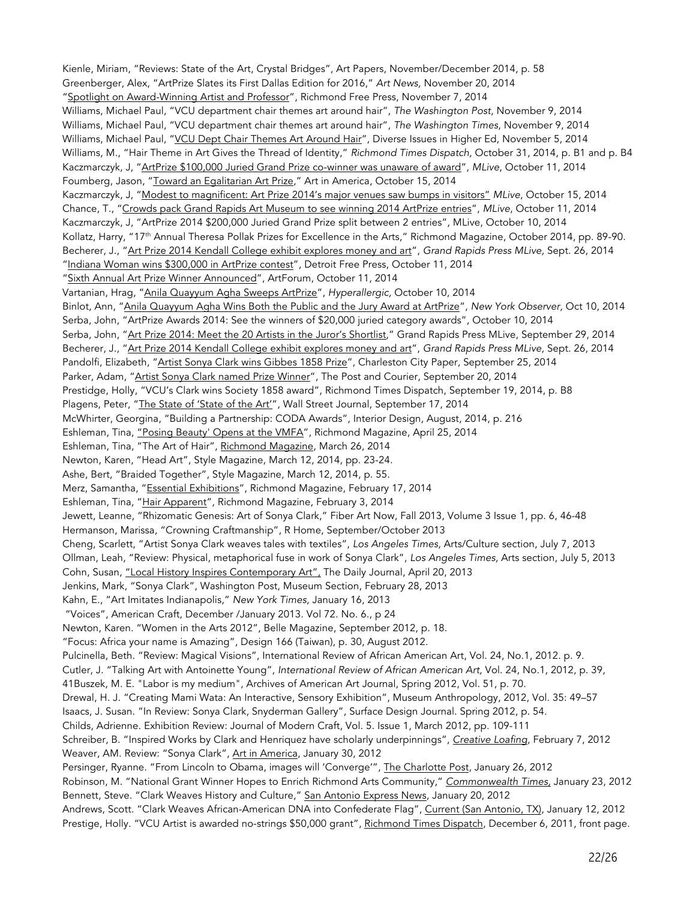Kienle, Miriam, "Reviews: State of the Art, Crystal Bridges", Art Papers, November/December 2014, p. 58 Greenberger, Alex, "ArtPrize Slates its First Dallas Edition for 2016," *Art News,* November 20, 2014 "Spotlight on Award-Winning Artist and Professor", Richmond Free Press, November 7, 2014 Williams, Michael Paul, "VCU department chair themes art around hair", *The Washington Post*, November 9, 2014 Williams, Michael Paul, "VCU department chair themes art around hair", *The Washington Times*, November 9, 2014 Williams, Michael Paul, "VCU Dept Chair Themes Art Around Hair", Diverse Issues in Higher Ed, November 5, 2014 Williams, M., "Hair Theme in Art Gives the Thread of Identity," *Richmond Times Dispatch,* October 31, 2014, p. B1 and p. B4 Kaczmarczyk, J, "ArtPrize \$100,000 Juried Grand Prize co-winner was unaware of award", *MLive*, October 11, 2014 Foumberg, Jason, "Toward an Egalitarian Art Prize," Art in America, October 15, 2014 Kaczmarczyk, J, "Modest to magnificent: Art Prize 2014's major venues saw bumps in visitors" *MLive*, October 15, 2014 Chance, T., "Crowds pack Grand Rapids Art Museum to see winning 2014 ArtPrize entries", *MLive*, October 11, 2014 Kaczmarczyk, J, "ArtPrize 2014 \$200,000 Juried Grand Prize split between 2 entries", MLive, October 10, 2014 Kollatz, Harry, "17<sup>th</sup> Annual Theresa Pollak Prizes for Excellence in the Arts," Richmond Magazine, October 2014, pp. 89-90. Becherer, J., "Art Prize 2014 Kendall College exhibit explores money and art", *Grand Rapids Press MLive,* Sept. 26, 2014 "Indiana Woman wins \$300,000 in ArtPrize contest", Detroit Free Press, October 11, 2014 "Sixth Annual Art Prize Winner Announced", ArtForum, October 11, 2014 Vartanian, Hrag, "Anila Quayyum Agha Sweeps ArtPrize", *Hyperallergic,* October 10, 2014 Binlot, Ann, "Anila Quayyum Agha Wins Both the Public and the Jury Award at ArtPrize", *New York Observer,* Oct 10, 2014 Serba, John, "ArtPrize Awards 2014: See the winners of \$20,000 juried category awards", October 10, 2014 Serba, John, "Art Prize 2014: Meet the 20 Artists in the Juror's Shortlist," Grand Rapids Press MLive, September 29, 2014 Becherer, J., "Art Prize 2014 Kendall College exhibit explores money and art", *Grand Rapids Press MLive,* Sept. 26, 2014 Pandolfi, Elizabeth, "Artist Sonya Clark wins Gibbes 1858 Prize", Charleston City Paper, September 25, 2014 Parker, Adam, "Artist Sonya Clark named Prize Winner", The Post and Courier, September 20, 2014 Prestidge, Holly, "VCU's Clark wins Society 1858 award", Richmond Times Dispatch, September 19, 2014, p. B8 Plagens, Peter, "The State of 'State of the Art'", Wall Street Journal, September 17, 2014 McWhirter, Georgina, "Building a Partnership: CODA Awards", Interior Design, August, 2014, p. 216 Eshleman, Tina, "Posing Beauty' Opens at the VMFA", Richmond Magazine, April 25, 2014 Eshleman, Tina, "The Art of Hair", Richmond Magazine, March 26, 2014 Newton, Karen, "Head Art", Style Magazine, March 12, 2014, pp. 23-24. Ashe, Bert, "Braided Together", Style Magazine, March 12, 2014, p. 55. Merz, Samantha, "Essential Exhibitions", Richmond Magazine, February 17, 2014 Eshleman, Tina, "Hair Apparent", Richmond Magazine, February 3, 2014 Jewett, Leanne, "Rhizomatic Genesis: Art of Sonya Clark," Fiber Art Now, Fall 2013, Volume 3 Issue 1, pp. 6, 46-48 Hermanson, Marissa, "Crowning Craftmanship", R Home, September/October 2013 Cheng, Scarlett, "Artist Sonya Clark weaves tales with textiles", *Los Angeles Times,* Arts/Culture section, July 7, 2013 Ollman, Leah, "Review: Physical, metaphorical fuse in work of Sonya Clark", *Los Angeles Times,* Arts section, July 5, 2013 Cohn, Susan, "Local History Inspires Contemporary Art", The Daily Journal, April 20, 2013 Jenkins, Mark, "Sonya Clark", Washington Post, Museum Section, February 28, 2013 Kahn, E., "Art Imitates Indianapolis," *New York Times,* January 16, 2013 "Voices", American Craft, December /January 2013. Vol 72. No. 6., p 24 Newton, Karen. "Women in the Arts 2012", Belle Magazine, September 2012, p. 18. "Focus: Africa your name is Amazing", Design 166 (Taiwan), p. 30, August 2012. Pulcinella, Beth. "Review: Magical Visions", International Review of African American Art, Vol. 24, No.1, 2012. p. 9. Cutler, J. "Talking Art with Antoinette Young", *International Review of African American Art,* Vol. 24, No.1, 2012, p. 39, 41Buszek, M. E. "Labor is my medium", Archives of American Art Journal, Spring 2012, Vol. 51, p. 70. Drewal, H. J. "Creating Mami Wata: An Interactive, Sensory Exhibition", Museum Anthropology, 2012, Vol. 35: 49–57 Isaacs, J. Susan. "In Review: Sonya Clark, Snyderman Gallery", Surface Design Journal. Spring 2012, p. 54. Childs, Adrienne. Exhibition Review: Journal of Modern Craft, Vol. 5. Issue 1, March 2012, pp. 109-111 Schreiber, B. "Inspired Works by Clark and Henriquez have scholarly underpinnings", *Creative Loafing*, February 7, 2012 Weaver, AM. Review: "Sonya Clark", Art in America, January 30, 2012 Persinger, Ryanne. "From Lincoln to Obama, images will 'Converge'", The Charlotte Post, January 26, 2012 Robinson, M. "National Grant Winner Hopes to Enrich Richmond Arts Community," *Commonwealth Times,* January 23, 2012 Bennett, Steve. "Clark Weaves History and Culture," San Antonio Express News, January 20, 2012 Andrews, Scott. "Clark Weaves African-American DNA into Confederate Flag", Current (San Antonio, TX), January 12, 2012 Prestige, Holly. "VCU Artist is awarded no-strings \$50,000 grant", Richmond Times Dispatch, December 6, 2011, front page.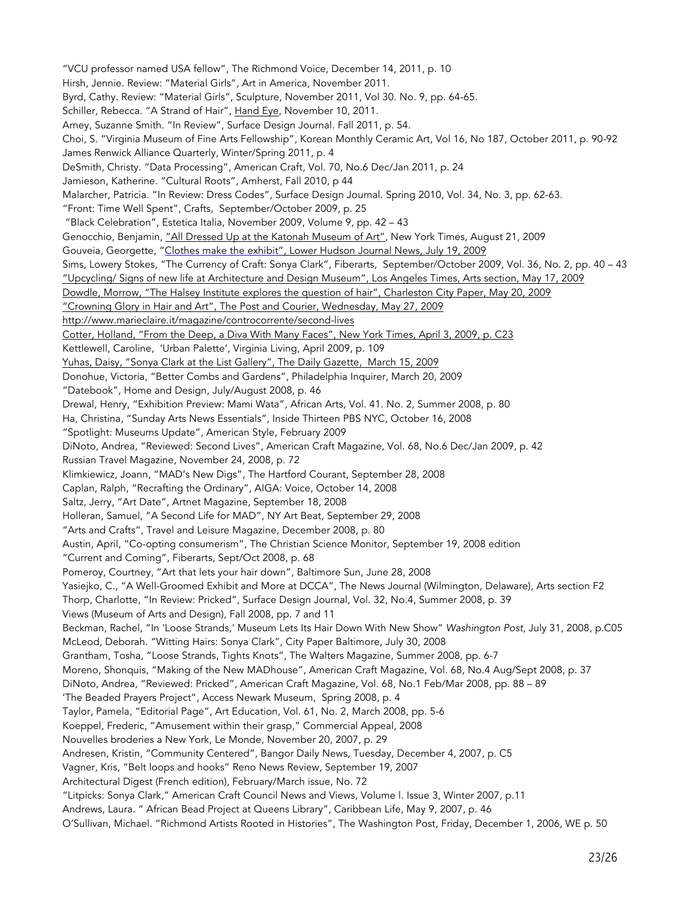"VCU professor named USA fellow", The Richmond Voice, December 14, 2011, p. 10 Hirsh, Jennie. Review: "Material Girls", Art in America, November 2011. Byrd, Cathy. Review: "Material Girls", Sculpture, November 2011, Vol 30. No. 9, pp. 64-65. Schiller, Rebecca. "A Strand of Hair", Hand Eye, November 10, 2011. Arney, Suzanne Smith. "In Review", Surface Design Journal. Fall 2011, p. 54. Choi, S. "Virginia Museum of Fine Arts Fellowship", Korean Monthly Ceramic Art, Vol 16, No 187, October 2011, p. 90-92 James Renwick Alliance Quarterly, Winter/Spring 2011, p. 4 DeSmith, Christy. "Data Processing", American Craft, Vol. 70, No.6 Dec/Jan 2011, p. 24 Jamieson, Katherine. "Cultural Roots", Amherst, Fall 2010, p 44 Malarcher, Patricia. "In Review: Dress Codes", Surface Design Journal. Spring 2010, Vol. 34, No. 3, pp. 62-63. "Front: Time Well Spent", Crafts, September/October 2009, p. 25 "Black Celebration", Estetica Italia, November 2009, Volume 9, pp. 42 – 43 Genocchio, Benjamin, "All Dressed Up at the Katonah Museum of Art", New York Times, August 21, 2009 Gouveia, Georgette, "Clothes make the exhibit", Lower Hudson Journal News, July 19, 2009 Sims, Lowery Stokes, "The Currency of Craft: Sonya Clark", Fiberarts, September/October 2009, Vol. 36, No. 2, pp. 40 – 43 "Upcycling/ Signs of new life at Architecture and Design Museum", Los Angeles Times, Arts section, May 17, 2009 Dowdle, Morrow, "The Halsey Institute explores the question of hair", Charleston City Paper, May 20, 2009 "Crowning Glory in Hair and Art", The Post and Courier, Wednesday, May 27, 2009 http://www.marieclaire.it/magazine/controcorrente/second-lives Cotter, Holland, "From the Deep, a Diva With Many Faces", New York Times, April 3, 2009, p. C23 Kettlewell, Caroline, 'Urban Palette', Virginia Living, April 2009, p. 109 Yuhas, Daisy, "Sonya Clark at the List Gallery", The Daily Gazette, March 15, 2009 Donohue, Victoria, "Better Combs and Gardens", Philadelphia Inquirer, March 20, 2009 "Datebook", Home and Design, July/August 2008, p. 46 Drewal, Henry, "Exhibition Preview: Mami Wata", African Arts*,* Vol. 41. No. 2, Summer 2008, p. 80 Ha, Christina, "Sunday Arts News Essentials", Inside Thirteen PBS NYC, October 16, 2008 "Spotlight: Museums Update", American Style, February 2009 DiNoto, Andrea, "Reviewed: Second Lives", American Craft Magazine, Vol. 68, No.6 Dec/Jan 2009, p. 42 Russian Travel Magazine, November 24, 2008, p. 72 Klimkiewicz, Joann, "MAD's New Digs", The Hartford Courant, September 28, 2008 Caplan, Ralph, "Recrafting the Ordinary", AIGA: Voice, October 14, 2008 Saltz, Jerry, "Art Date", Artnet Magazine, September 18, 2008 Holleran, Samuel, "A Second Life for MAD", NY Art Beat, September 29, 2008 "Arts and Crafts", Travel and Leisure Magazine, December 2008, p. 80 Austin, April, "Co-opting consumerism", The Christian Science Monitor, September 19, 2008 edition "Current and Coming", Fiberarts, Sept/Oct 2008, p. 68 Pomeroy, Courtney, "Art that lets your hair down", Baltimore Sun, June 28, 2008 Yasiejko, C., "A Well-Groomed Exhibit and More at DCCA", The News Journal (Wilmington, Delaware), Arts section F2 Thorp, Charlotte, "In Review: Pricked", Surface Design Journal, Vol. 32, No.4, Summer 2008, p. 39 Views (Museum of Arts and Design), Fall 2008, pp. 7 and 11 Beckman, Rachel, "In 'Loose Strands,' Museum Lets Its Hair Down With New Show" *Washington Post*, July 31, 2008, p.C05 McLeod, Deborah. "Witting Hairs: Sonya Clark", City Paper Baltimore, July 30, 2008 Grantham, Tosha, "Loose Strands, Tights Knots", The Walters Magazine, Summer 2008, pp. 6-7 Moreno, Shonquis, "Making of the New MADhouse", American Craft Magazine, Vol. 68, No.4 Aug/Sept 2008, p. 37 DiNoto, Andrea, "Reviewed: Pricked", American Craft Magazine, Vol. 68, No.1 Feb/Mar 2008, pp. 88 – 89 'The Beaded Prayers Project", Access Newark Museum, Spring 2008, p. 4 Taylor, Pamela, "Editorial Page", Art Education, Vol. 61, No. 2, March 2008, pp. 5-6 Koeppel, Frederic, "Amusement within their grasp," Commercial Appeal, 2008 Nouvelles broderies a New York, Le Monde, November 20, 2007, p. 29 Andresen, Kristin, "Community Centered", Bangor Daily News, Tuesday, December 4, 2007, p. C5 Vagner, Kris, "Belt loops and hooks" Reno News Review, September 19, 2007 Architectural Digest (French edition), February/March issue, No. 72 "Litpicks: Sonya Clark," American Craft Council News and Views, Volume l. Issue 3, Winter 2007, p.11 Andrews, Laura. " African Bead Project at Queens Library", Caribbean Life, May 9, 2007, p. 46

O'Sullivan, Michael. "Richmond Artists Rooted in Histories", The Washington Post, Friday, December 1, 2006, WE p. 50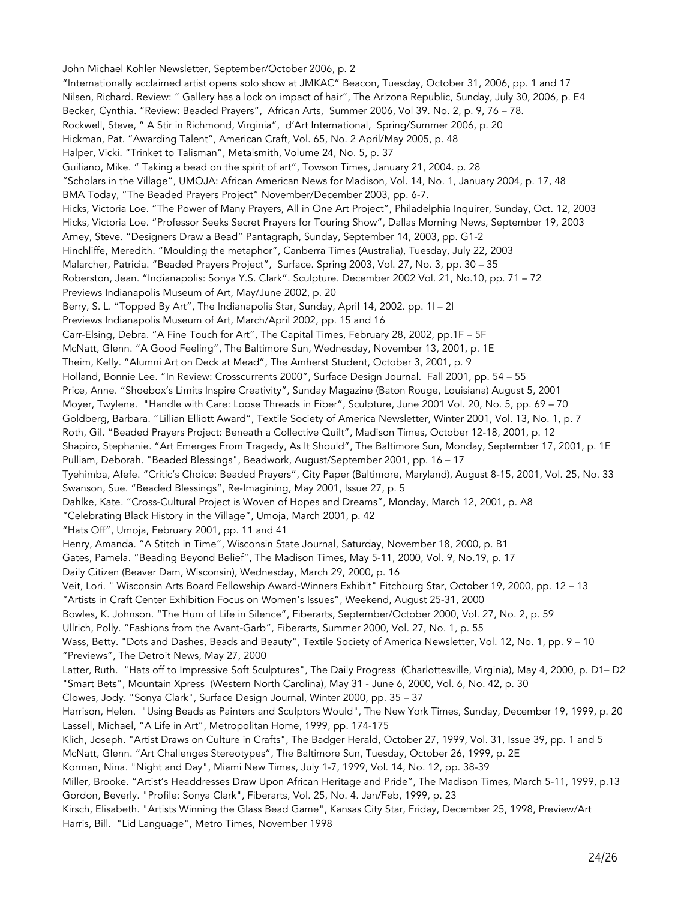John Michael Kohler Newsletter, September/October 2006, p. 2 "Internationally acclaimed artist opens solo show at JMKAC" Beacon, Tuesday, October 31, 2006, pp. 1 and 17 Nilsen, Richard. Review: " Gallery has a lock on impact of hair", The Arizona Republic, Sunday, July 30, 2006, p. E4 Becker, Cynthia. "Review: Beaded Prayers", African Arts, Summer 2006, Vol 39. No. 2, p. 9, 76 – 78. Rockwell, Steve, " A Stir in Richmond, Virginia", d'Art International, Spring/Summer 2006, p. 20 Hickman, Pat. "Awarding Talent", American Craft, Vol. 65, No. 2 April/May 2005, p. 48 Halper, Vicki. "Trinket to Talisman", Metalsmith, Volume 24, No. 5, p. 37 Guiliano, Mike. " Taking a bead on the spirit of art", Towson Times, January 21, 2004. p. 28 "Scholars in the Village", UMOJA: African American News for Madison, Vol. 14, No. 1, January 2004, p. 17, 48 BMA Today, "The Beaded Prayers Project" November/December 2003, pp. 6-7. Hicks, Victoria Loe. "The Power of Many Prayers, All in One Art Project", Philadelphia Inquirer, Sunday, Oct. 12, 2003 Hicks, Victoria Loe. "Professor Seeks Secret Prayers for Touring Show", Dallas Morning News, September 19, 2003 Arney, Steve. "Designers Draw a Bead" Pantagraph, Sunday, September 14, 2003, pp. G1-2 Hinchliffe, Meredith. "Moulding the metaphor", Canberra Times (Australia), Tuesday, July 22, 2003 Malarcher, Patricia. "Beaded Prayers Project", Surface. Spring 2003, Vol. 27, No. 3, pp. 30 – 35 Roberston, Jean. "Indianapolis: Sonya Y.S. Clark". Sculpture. December 2002 Vol. 21, No.10, pp. 71 – 72 Previews Indianapolis Museum of Art, May/June 2002, p. 20 Berry, S. L. "Topped By Art", The Indianapolis Star, Sunday, April 14, 2002. pp. 1I – 2I Previews Indianapolis Museum of Art, March/April 2002, pp. 15 and 16 Carr-Elsing, Debra. "A Fine Touch for Art", The Capital Times, February 28, 2002, pp.1F – 5F McNatt, Glenn. "A Good Feeling", The Baltimore Sun, Wednesday, November 13, 2001, p. 1E Theim, Kelly. "Alumni Art on Deck at Mead", The Amherst Student, October 3, 2001, p. 9 Holland, Bonnie Lee. "In Review: Crosscurrents 2000", Surface Design Journal. Fall 2001, pp. 54 – 55 Price, Anne. "Shoebox's Limits Inspire Creativity", Sunday Magazine (Baton Rouge, Louisiana) August 5, 2001 Moyer, Twylene. "Handle with Care: Loose Threads in Fiber", Sculpture, June 2001 Vol. 20, No. 5, pp. 69 – 70 Goldberg, Barbara. "Lillian Elliott Award", Textile Society of America Newsletter, Winter 2001, Vol. 13, No. 1, p. 7 Roth, Gil. "Beaded Prayers Project: Beneath a Collective Quilt", Madison Times, October 12-18, 2001, p. 12 Shapiro, Stephanie. "Art Emerges From Tragedy, As It Should", The Baltimore Sun, Monday, September 17, 2001, p. 1E Pulliam, Deborah. "Beaded Blessings", Beadwork, August/September 2001, pp. 16 – 17 Tyehimba, Afefe. "Critic's Choice: Beaded Prayers", City Paper (Baltimore, Maryland), August 8-15, 2001, Vol. 25, No. 33 Swanson, Sue. "Beaded Blessings", Re-Imagining, May 2001, Issue 27, p. 5 Dahlke, Kate. "Cross-Cultural Project is Woven of Hopes and Dreams", Monday, March 12, 2001, p. A8 "Celebrating Black History in the Village", Umoja, March 2001, p. 42 "Hats Off", Umoja, February 2001, pp. 11 and 41 Henry, Amanda. "A Stitch in Time", Wisconsin State Journal, Saturday, November 18, 2000, p. B1 Gates, Pamela. "Beading Beyond Belief", The Madison Times, May 5-11, 2000, Vol. 9, No.19, p. 17 Daily Citizen (Beaver Dam, Wisconsin), Wednesday, March 29, 2000, p. 16 Veit, Lori. " Wisconsin Arts Board Fellowship Award-Winners Exhibit" Fitchburg Star, October 19, 2000, pp. 12 – 13 "Artists in Craft Center Exhibition Focus on Women's Issues", Weekend, August 25-31, 2000 Bowles, K. Johnson. "The Hum of Life in Silence", Fiberarts, September/October 2000, Vol. 27, No. 2, p. 59 Ullrich, Polly. "Fashions from the Avant-Garb", Fiberarts, Summer 2000, Vol. 27, No. 1, p. 55 Wass, Betty. "Dots and Dashes, Beads and Beauty", Textile Society of America Newsletter, Vol. 12, No. 1, pp. 9 – 10 "Previews", The Detroit News, May 27, 2000 Latter, Ruth. "Hats off to Impressive Soft Sculptures", The Daily Progress (Charlottesville, Virginia), May 4, 2000, p. D1– D2 "Smart Bets", Mountain Xpress (Western North Carolina), May 31 - June 6, 2000, Vol. 6, No. 42, p. 30 Clowes, Jody. "Sonya Clark", Surface Design Journal, Winter 2000, pp. 35 – 37 Harrison, Helen. "Using Beads as Painters and Sculptors Would", The New York Times, Sunday, December 19, 1999, p. 20 Lassell, Michael, "A Life in Art", Metropolitan Home, 1999, pp. 174-175 Klich, Joseph. "Artist Draws on Culture in Crafts", The Badger Herald, October 27, 1999, Vol. 31, Issue 39, pp. 1 and 5 McNatt, Glenn. "Art Challenges Stereotypes", The Baltimore Sun, Tuesday, October 26, 1999, p. 2E Korman, Nina. "Night and Day", Miami New Times, July 1-7, 1999, Vol. 14, No. 12, pp. 38-39 Miller, Brooke. "Artist's Headdresses Draw Upon African Heritage and Pride", The Madison Times, March 5-11, 1999, p.13 Gordon, Beverly. "Profile: Sonya Clark", Fiberarts, Vol. 25, No. 4. Jan/Feb, 1999, p. 23 Kirsch, Elisabeth. "Artists Winning the Glass Bead Game", Kansas City Star, Friday, December 25, 1998, Preview/Art Harris, Bill. "Lid Language", Metro Times, November 1998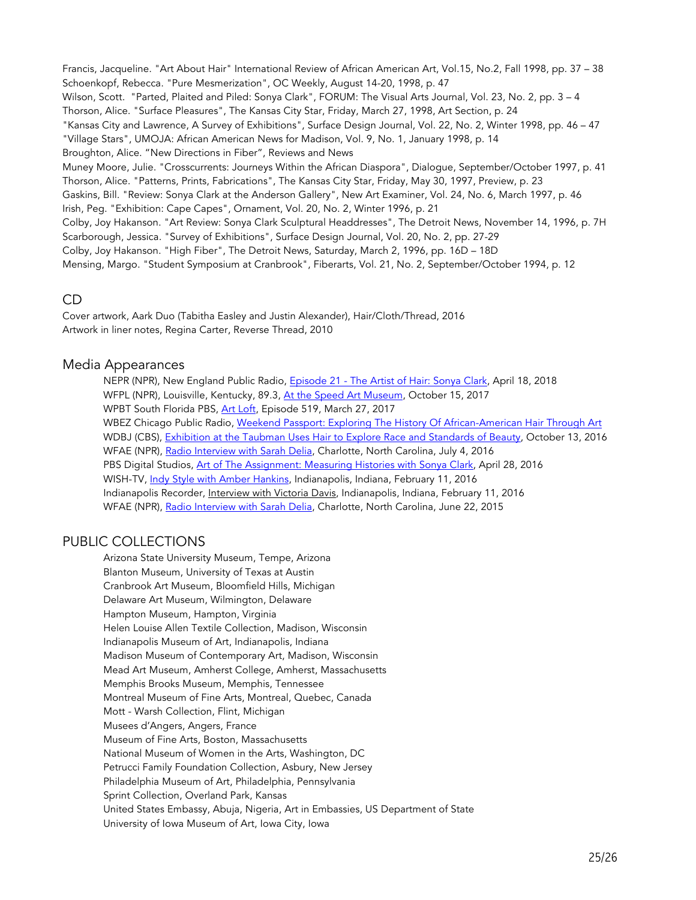Francis, Jacqueline. "Art About Hair" International Review of African American Art, Vol.15, No.2, Fall 1998, pp. 37 – 38 Schoenkopf, Rebecca. "Pure Mesmerization", OC Weekly, August 14-20, 1998, p. 47 Wilson, Scott. "Parted, Plaited and Piled: Sonya Clark", FORUM: The Visual Arts Journal, Vol. 23, No. 2, pp. 3 – 4 Thorson, Alice. "Surface Pleasures", The Kansas City Star, Friday, March 27, 1998, Art Section, p. 24 "Kansas City and Lawrence, A Survey of Exhibitions", Surface Design Journal, Vol. 22, No. 2, Winter 1998, pp. 46 – 47 "Village Stars", UMOJA: African American News for Madison, Vol. 9, No. 1, January 1998, p. 14 Broughton, Alice. "New Directions in Fiber", Reviews and News Muney Moore, Julie. "Crosscurrents: Journeys Within the African Diaspora", Dialogue, September/October 1997, p. 41 Thorson, Alice. "Patterns, Prints, Fabrications", The Kansas City Star, Friday, May 30, 1997, Preview, p. 23 Gaskins, Bill. "Review: Sonya Clark at the Anderson Gallery", New Art Examiner, Vol. 24, No. 6, March 1997, p. 46 Irish, Peg. "Exhibition: Cape Capes", Ornament, Vol. 20, No. 2, Winter 1996, p. 21 Colby, Joy Hakanson. "Art Review: Sonya Clark Sculptural Headdresses", The Detroit News, November 14, 1996, p. 7H Scarborough, Jessica. "Survey of Exhibitions", Surface Design Journal, Vol. 20, No. 2, pp. 27-29 Colby, Joy Hakanson. "High Fiber", The Detroit News, Saturday, March 2, 1996, pp. 16D – 18D Mensing, Margo. "Student Symposium at Cranbrook", Fiberarts, Vol. 21, No. 2, September/October 1994, p. 12

## CD

Cover artwork, Aark Duo (Tabitha Easley and Justin Alexander), Hair/Cloth/Thread, 2016 Artwork in liner notes, Regina Carter, Reverse Thread, 2010

#### Media Appearances

NEPR (NPR), New England Public Radio, Episode 21 - The Artist of Hair: Sonya Clark, April 18, 2018 WFPL (NPR), Louisville, Kentucky, 89.3, At the Speed Art Museum, October 15, 2017 WPBT South Florida PBS, Art Loft, Episode 519, March 27, 2017 WBEZ Chicago Public Radio, Weekend Passport: Exploring The History Of African-American Hair Through Art WDBJ (CBS), Exhibition at the Taubman Uses Hair to Explore Race and Standards of Beauty, October 13, 2016 WFAE (NPR), Radio Interview with Sarah Delia, Charlotte, North Carolina, July 4, 2016 PBS Digital Studios, Art of The Assignment: Measuring Histories with Sonya Clark, April 28, 2016 WISH-TV, Indy Style with Amber Hankins, Indianapolis, Indiana, February 11, 2016 Indianapolis Recorder, *Interview with Victoria Davis*, Indianapolis, Indiana, February 11, 2016 WFAE (NPR), Radio Interview with Sarah Delia, Charlotte, North Carolina, June 22, 2015

## PUBLIC COLLECTIONS

Arizona State University Museum, Tempe, Arizona Blanton Museum, University of Texas at Austin Cranbrook Art Museum, Bloomfield Hills, Michigan Delaware Art Museum, Wilmington, Delaware Hampton Museum, Hampton, Virginia Helen Louise Allen Textile Collection, Madison, Wisconsin Indianapolis Museum of Art, Indianapolis, Indiana Madison Museum of Contemporary Art, Madison, Wisconsin Mead Art Museum, Amherst College, Amherst, Massachusetts Memphis Brooks Museum, Memphis, Tennessee Montreal Museum of Fine Arts, Montreal, Quebec, Canada Mott - Warsh Collection, Flint, Michigan Musees d'Angers, Angers, France Museum of Fine Arts, Boston, Massachusetts National Museum of Women in the Arts, Washington, DC Petrucci Family Foundation Collection, Asbury, New Jersey Philadelphia Museum of Art, Philadelphia, Pennsylvania Sprint Collection, Overland Park, Kansas United States Embassy, Abuja, Nigeria, Art in Embassies, US Department of State University of Iowa Museum of Art, Iowa City, Iowa